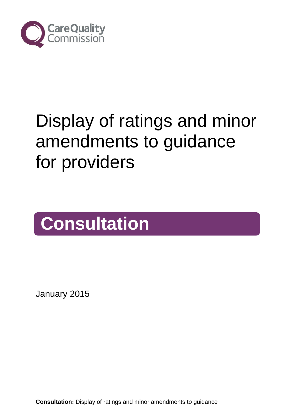

# Display of ratings and minor amendments to guidance for providers

# **Consultation**

January 2015

**Consultation:** Display of ratings and minor amendments to guidance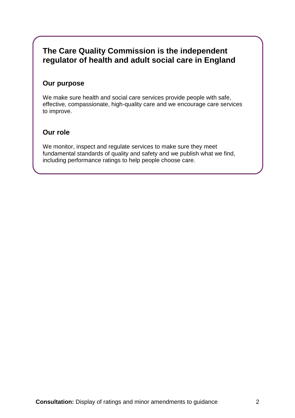### **The Care Quality Commission is the independent regulator of health and adult social care in England**

#### **Our purpose**

We make sure health and social care services provide people with safe, effective, compassionate, high-quality care and we encourage care services to improve.

#### **Our role**

We monitor, inspect and regulate services to make sure they meet fundamental standards of quality and safety and we publish what we find, including performance ratings to help people choose care.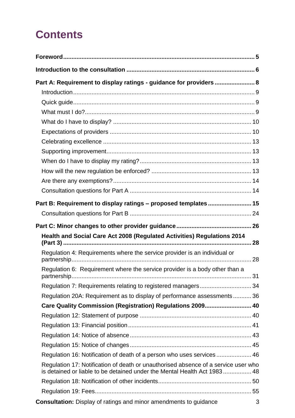# **Contents**

| Part A: Requirement to display ratings - guidance for providers  8                                                                                             |  |
|----------------------------------------------------------------------------------------------------------------------------------------------------------------|--|
|                                                                                                                                                                |  |
|                                                                                                                                                                |  |
|                                                                                                                                                                |  |
|                                                                                                                                                                |  |
|                                                                                                                                                                |  |
|                                                                                                                                                                |  |
|                                                                                                                                                                |  |
|                                                                                                                                                                |  |
|                                                                                                                                                                |  |
|                                                                                                                                                                |  |
|                                                                                                                                                                |  |
| Part B: Requirement to display ratings - proposed templates 15                                                                                                 |  |
|                                                                                                                                                                |  |
|                                                                                                                                                                |  |
| Health and Social Care Act 2008 (Regulated Activities) Regulations 2014                                                                                        |  |
|                                                                                                                                                                |  |
| Regulation 4: Requirements where the service provider is an individual or                                                                                      |  |
| Regulation 6: Requirement where the service provider is a body other than a                                                                                    |  |
|                                                                                                                                                                |  |
| Regulation 20A: Requirement as to display of performance assessments 36                                                                                        |  |
| Care Quality Commission (Registration) Regulations 2009 40                                                                                                     |  |
|                                                                                                                                                                |  |
|                                                                                                                                                                |  |
|                                                                                                                                                                |  |
|                                                                                                                                                                |  |
| Regulation 16: Notification of death of a person who uses services 46                                                                                          |  |
| Regulation 17: Notification of death or unauthorised absence of a service user who<br>is detained or liable to be detained under the Mental Health Act 1983 48 |  |
|                                                                                                                                                                |  |
|                                                                                                                                                                |  |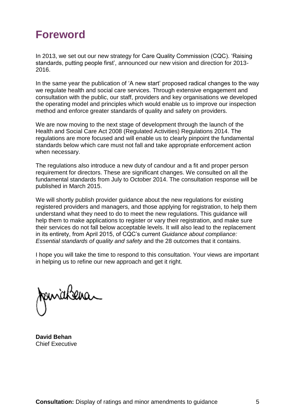# <span id="page-4-0"></span>**Foreword**

In 2013, we set out our new strategy for Care Quality Commission (CQC). 'Raising standards, putting people first', announced our new vision and direction for 2013- 2016.

In the same year the publication of 'A new start' proposed radical changes to the way we regulate health and social care services. Through extensive engagement and consultation with the public, our staff, providers and key organisations we developed the operating model and principles which would enable us to improve our inspection method and enforce greater standards of quality and safety on providers.

We are now moving to the next stage of development through the launch of the Health and Social Care Act 2008 (Regulated Activities) Regulations 2014. The regulations are more focused and will enable us to clearly pinpoint the fundamental standards below which care must not fall and take appropriate enforcement action when necessary.

The regulations also introduce a new duty of candour and a fit and proper person requirement for directors. These are significant changes. We consulted on all the fundamental standards from July to October 2014. The consultation response will be published in March 2015.

We will shortly publish provider guidance about the new regulations for existing registered providers and managers, and those applying for registration, to help them understand what they need to do to meet the new regulations. This guidance will help them to make applications to register or vary their registration, and make sure their services do not fall below acceptable levels. It will also lead to the replacement in its entirety, from April 2015, of CQC's current *Guidance about compliance: Essential standards of quality and safety* and the 28 outcomes that it contains.

I hope you will take the time to respond to this consultation. Your views are important in helping us to refine our new approach and get it right.

pinakeira

**David Behan** Chief Executive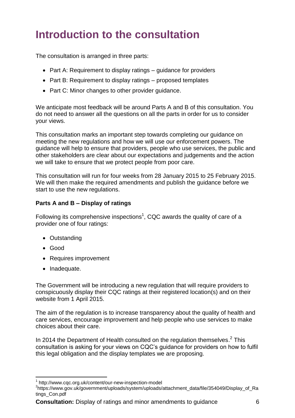# <span id="page-5-0"></span>**Introduction to the consultation**

The consultation is arranged in three parts:

- Part A: Requirement to display ratings guidance for providers
- Part B: Requirement to display ratings proposed templates
- Part C: Minor changes to other provider quidance.

We anticipate most feedback will be around Parts A and B of this consultation. You do not need to answer all the questions on all the parts in order for us to consider your views.

This consultation marks an important step towards completing our guidance on meeting the new regulations and how we will use our enforcement powers. The guidance will help to ensure that providers, people who use services, the public and other stakeholders are clear about our expectations and judgements and the action we will take to ensure that we protect people from poor care.

This consultation will run for four weeks from 28 January 2015 to 25 February 2015. We will then make the required amendments and publish the quidance before we start to use the new regulations.

#### **Parts A and B – Display of ratings**

Following its comprehensive inspections<sup>1</sup>, CQC awards the quality of care of a provider one of four ratings:

- Outstanding
- Good

1

- Requires improvement
- Inadequate.

The Government will be introducing a new regulation that will require providers to conspicuously display their CQC ratings at their registered location(s) and on their website from 1 April 2015.

The aim of the regulation is to increase transparency about the quality of health and care services, encourage improvement and help people who use services to make choices about their care.

In 2014 the Department of Health consulted on the regulation themselves.<sup>2</sup> This consultation is asking for your views on CQC's guidance for providers on how to fulfil this legal obligation and the display templates we are proposing.

**Consultation:** Display of ratings and minor amendments to guidance 6

<sup>1</sup> http://www.cqc.org.uk/content/our-new-inspection-model

<sup>2</sup> https://www.gov.uk/government/uploads/system/uploads/attachment\_data/file/354049/Display\_of\_Ra tings\_Con.pdf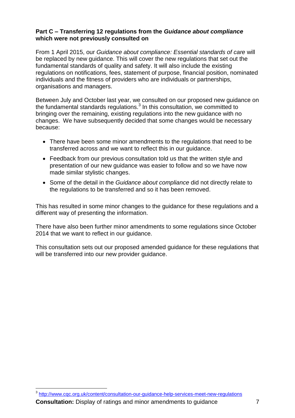#### **Part C – Transferring 12 regulations from the** *Guidance about compliance* **which were not previously consulted on**

From 1 April 2015, our *Guidance about compliance: Essential standards of care* will be replaced by new guidance. This will cover the new regulations that set out the fundamental standards of quality and safety. It will also include the existing regulations on notifications, fees, statement of purpose, financial position, nominated individuals and the fitness of providers who are individuals or partnerships, organisations and managers.

Between July and October last year, we consulted on our proposed new guidance on the fundamental standards regulations.<sup>3</sup> In this consultation, we committed to bringing over the remaining, existing regulations into the new guidance with no changes. We have subsequently decided that some changes would be necessary because:

- There have been some minor amendments to the regulations that need to be transferred across and we want to reflect this in our guidance.
- Feedback from our previous consultation told us that the written style and presentation of our new guidance was easier to follow and so we have now made similar stylistic changes.
- Some of the detail in the *Guidance about compliance* did not directly relate to the regulations to be transferred and so it has been removed.

This has resulted in some minor changes to the guidance for these regulations and a different way of presenting the information.

There have also been further minor amendments to some regulations since October 2014 that we want to reflect in our guidance.

This consultation sets out our proposed amended guidance for these regulations that will be transferred into our new provider guidance.

<sup>1</sup> <sup>3</sup> <http://www.cqc.org.uk/content/consultation-our-guidance-help-services-meet-new-regulations>

**Consultation:** Display of ratings and minor amendments to guidance  $\overline{7}$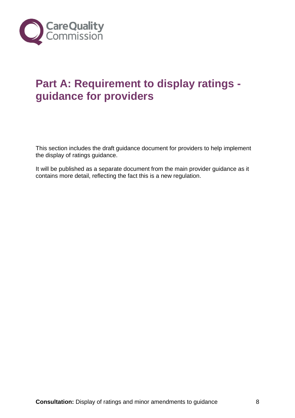<span id="page-7-1"></span>

# <span id="page-7-0"></span>**Part A: Requirement to display ratings guidance for providers**

This section includes the draft guidance document for providers to help implement the display of ratings guidance.

It will be published as a separate document from the main provider guidance as it contains more detail, reflecting the fact this is a new regulation.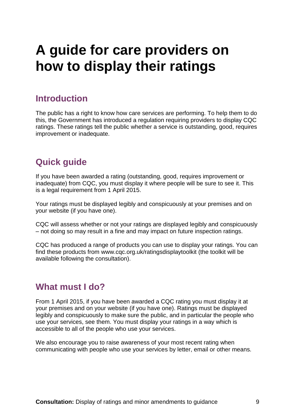# **A guide for care providers on how to display their ratings**

### <span id="page-8-0"></span>**Introduction**

The public has a right to know how care services are performing. To help them to do this, the Government has introduced a regulation requiring providers to display CQC ratings. These ratings tell the public whether a service is outstanding, good, requires improvement or inadequate.

### <span id="page-8-1"></span>**Quick guide**

If you have been awarded a rating (outstanding, good, requires improvement or inadequate) from CQC, you must display it where people will be sure to see it. This is a legal requirement from 1 April 2015.

Your ratings must be displayed legibly and conspicuously at your premises and on your website (if you have one).

CQC will assess whether or not your ratings are displayed legibly and conspicuously – not doing so may result in a fine and may impact on future inspection ratings.

CQC has produced a range of products you can use to display your ratings. You can find these products from [www.cqc.org.uk/ratingsdisplaytoolkit](http://www.cqc.org.uk/ratingsdisplaytoolkit) (the toolkit will be available following the consultation).

### <span id="page-8-2"></span>**What must I do?**

From 1 April 2015, if you have been awarded a CQC rating you must display it at your premises and on your website (if you have one). Ratings must be displayed legibly and conspicuously to make sure the public, and in particular the people who use your services, see them. You must display your ratings in a way which is accessible to all of the people who use your services.

We also encourage you to raise awareness of your most recent rating when communicating with people who use your services by letter, email or other means.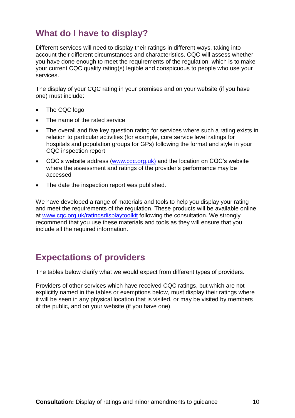### <span id="page-9-0"></span>**What do I have to display?**

Different services will need to display their ratings in different ways, taking into account their different circumstances and characteristics. CQC will assess whether you have done enough to meet the requirements of the regulation, which is to make your current CQC quality rating(s) legible and conspicuous to people who use your services.

The display of your CQC rating in your premises and on your website (if you have one) must include:

- The CQC logo
- The name of the rated service
- The overall and five key question rating for services where such a rating exists in relation to particular activities (for example, core service level ratings for hospitals and population groups for GPs) following the format and style in your CQC inspection report
- CQC's website address [\(www.cqc.org.uk\)](http://www.cqc.org.uk/) and the location on CQC's website where the assessment and ratings of the provider's performance may be accessed
- The date the inspection report was published.

We have developed a range of materials and tools to help you display your rating and meet the requirements of the regulation. These products will be available online at [www.cqc.org.uk/ratingsdisplaytoolkit](http://www.cqc.org.uk/ratingsdisplaytoolkit) following the consultation. We strongly recommend that you use these materials and tools as they will ensure that you include all the required information.

### <span id="page-9-1"></span>**Expectations of providers**

The tables below clarify what we would expect from different types of providers.

Providers of other services which have received CQC ratings, but which are not explicitly named in the tables or exemptions below, must display their ratings where it will be seen in any physical location that is visited, or may be visited by members of the public, and on your website (if you have one).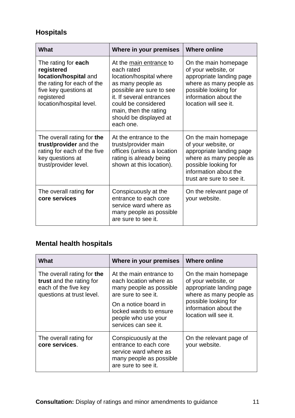### **Hospitals**

| What                                                                                                                                                        | Where in your premises                                                                                                                                                                                                               | <b>Where online</b>                                                                                                                                                          |
|-------------------------------------------------------------------------------------------------------------------------------------------------------------|--------------------------------------------------------------------------------------------------------------------------------------------------------------------------------------------------------------------------------------|------------------------------------------------------------------------------------------------------------------------------------------------------------------------------|
| The rating for each<br>registered<br>location/hospital and<br>the rating for each of the<br>five key questions at<br>registered<br>location/hospital level. | At the main entrance to<br>each rated<br>location/hospital where<br>as many people as<br>possible are sure to see<br>it. If several entrances<br>could be considered<br>main, then the rating<br>should be displayed at<br>each one. | On the main homepage<br>of your website, or<br>appropriate landing page<br>where as many people as<br>possible looking for<br>information about the<br>location will see it. |
| The overall rating for the<br>trust/provider and the<br>rating for each of the five<br>key questions at<br>trust/provider level.                            | At the entrance to the<br>trusts/provider main<br>offices (unless a location<br>rating is already being<br>shown at this location).                                                                                                  |                                                                                                                                                                              |
| The overall rating for<br>core services                                                                                                                     | Conspicuously at the<br>entrance to each core<br>service ward where as<br>many people as possible<br>are sure to see it.                                                                                                             |                                                                                                                                                                              |

### **Mental health hospitals**

| What                                                                                                        | Where in your premises                                                                                                                                                                               | <b>Where online</b>                                                                                                                                                          |
|-------------------------------------------------------------------------------------------------------------|------------------------------------------------------------------------------------------------------------------------------------------------------------------------------------------------------|------------------------------------------------------------------------------------------------------------------------------------------------------------------------------|
| The overall rating for the<br>trust and the rating for<br>each of the five key<br>questions at trust level. | At the main entrance to<br>each location where as<br>many people as possible<br>are sure to see it.<br>On a notice board in<br>locked wards to ensure<br>people who use your<br>services can see it. | On the main homepage<br>of your website, or<br>appropriate landing page<br>where as many people as<br>possible looking for<br>information about the<br>location will see it. |
| The overall rating for<br>core services.                                                                    | Conspicuously at the<br>entrance to each core<br>service ward where as<br>many people as possible<br>are sure to see it.                                                                             | On the relevant page of<br>your website.                                                                                                                                     |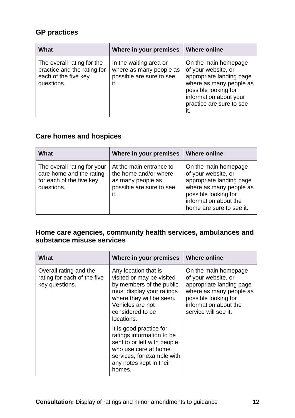### **GP practices**

| What                                                                                            | Where in your premises                                                               | <b>Where online</b>                                                                                                                                                              |
|-------------------------------------------------------------------------------------------------|--------------------------------------------------------------------------------------|----------------------------------------------------------------------------------------------------------------------------------------------------------------------------------|
| The overall rating for the<br>practice and the rating for<br>each of the five key<br>questions. | In the waiting area or<br>where as many people as<br>possible are sure to see<br>it. | On the main homepage<br>of your website, or<br>appropriate landing page<br>where as many people as<br>possible looking for<br>information about your<br>practice are sure to see |

### **Care homes and hospices**

| What                                                                                              | Where in your premises                                                                                   | <b>Where online</b>                                                                                                                                                             |
|---------------------------------------------------------------------------------------------------|----------------------------------------------------------------------------------------------------------|---------------------------------------------------------------------------------------------------------------------------------------------------------------------------------|
| The overall rating for your<br>care home and the rating<br>for each of the five key<br>questions. | At the main entrance to<br>the home and/or where<br>as many people as<br>possible are sure to see<br>it. | On the main homepage<br>of your website, or<br>appropriate landing page<br>where as many people as<br>possible looking for<br>information about the<br>home are sure to see it. |

### **Home care agencies, community health services, ambulances and substance misuse services**

| What                                                                    | Where in your premises                                                                                                                                                                       | <b>Where online</b>                                                                                                                                                         |
|-------------------------------------------------------------------------|----------------------------------------------------------------------------------------------------------------------------------------------------------------------------------------------|-----------------------------------------------------------------------------------------------------------------------------------------------------------------------------|
| Overall rating and the<br>rating for each of the five<br>key questions. | Any location that is<br>visited or may be visited<br>by members of the public<br>must display your ratings<br>where they will be seen.<br>Vehicles are not<br>considered to be<br>locations. | On the main homepage<br>of your website, or<br>appropriate landing page<br>where as many people as<br>possible looking for<br>information about the<br>service will see it. |
|                                                                         | It is good practice for<br>ratings information to be<br>sent to or left with people<br>who use care at home<br>services, for example with<br>any notes kept in their<br>homes.               |                                                                                                                                                                             |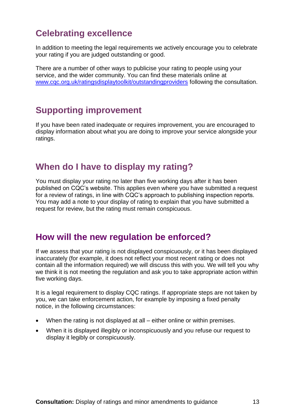# <span id="page-12-0"></span>**Celebrating excellence**

In addition to meeting the legal requirements we actively encourage you to celebrate your rating if you are judged outstanding or good.

There are a number of other ways to publicise your rating to people using your service, and the wider community. You can find these materials online at [www.cqc.org.uk/ratingsdisplaytoolkit/outstandingproviders](http://www.cqc.org.uk/ratingsdisplaytoolkit/outstandingproviders) following the consultation.

# <span id="page-12-1"></span>**Supporting improvement**

If you have been rated inadequate or requires improvement, you are encouraged to display information about what you are doing to improve your service alongside your ratings.

### <span id="page-12-2"></span>**When do I have to display my rating?**

You must display your rating no later than five working days after it has been published on CQC's website. This applies even where you have submitted a request for a review of ratings, in line with CQC's approach to publishing inspection reports. You may add a note to your display of rating to explain that you have submitted a request for review, but the rating must remain conspicuous.

### <span id="page-12-3"></span>**How will the new regulation be enforced?**

If we assess that your rating is not displayed conspicuously, or it has been displayed inaccurately (for example, it does not reflect your most recent rating or does not contain all the information required) we will discuss this with you. We will tell you why we think it is not meeting the regulation and ask you to take appropriate action within five working days.

It is a legal requirement to display CQC ratings. If appropriate steps are not taken by you, we can take enforcement action, for example by imposing a fixed penalty notice, in the following circumstances:

- When the rating is not displayed at all either online or within premises.
- When it is displayed illegibly or inconspicuously and you refuse our request to display it legibly or conspicuously.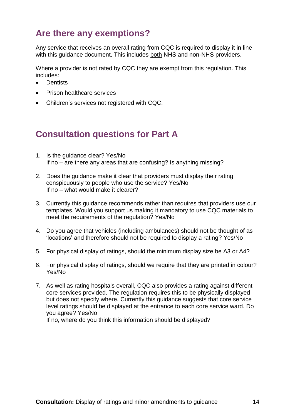## <span id="page-13-0"></span>**Are there any exemptions?**

Any service that receives an overall rating from CQC is required to display it in line with this guidance document. This includes both NHS and non-NHS providers.

Where a provider is not rated by CQC they are exempt from this regulation. This includes:

- **•** Dentists
- Prison healthcare services
- Children's services not registered with CQC.

### <span id="page-13-1"></span>**Consultation questions for Part A**

- 1. Is the guidance clear? Yes/No If no – are there any areas that are confusing? Is anything missing?
- 2. Does the guidance make it clear that providers must display their rating conspicuously to people who use the service? Yes/No If no – what would make it clearer?
- 3. Currently this guidance recommends rather than requires that providers use our templates. Would you support us making it mandatory to use CQC materials to meet the requirements of the regulation? Yes/No
- 4. Do you agree that vehicles (including ambulances) should not be thought of as 'locations' and therefore should not be required to display a rating? Yes/No
- 5. For physical display of ratings, should the minimum display size be A3 or A4?
- 6. For physical display of ratings, should we require that they are printed in colour? Yes/No
- 7. As well as rating hospitals overall, CQC also provides a rating against different core services provided. The regulation requires this to be physically displayed but does not specify where. Currently this guidance suggests that core service level ratings should be displayed at the entrance to each core service ward. Do you agree? Yes/No

If no, where do you think this information should be displayed?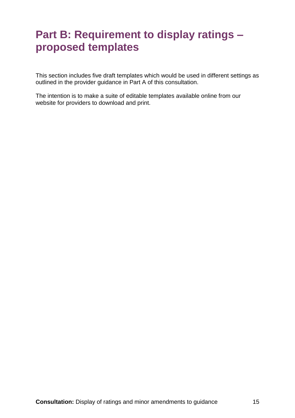# <span id="page-14-0"></span>**Part B: Requirement to display ratings – proposed templates**

This section includes five draft templates which would be used in different settings as outlined in the provider guidance in Part A of this consultation.

The intention is to make a suite of editable templates available online from our website for providers to download and print.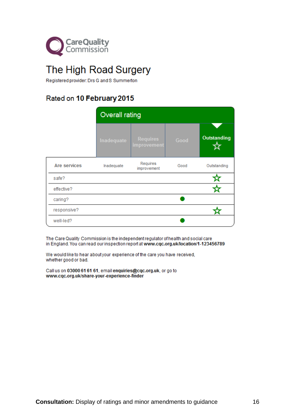

# The High Road Surgery

Registered provider: Drs G and S Summerton

### Rated on 10 February 2015

|              | <b>Overall rating</b> |                                |      |                    |
|--------------|-----------------------|--------------------------------|------|--------------------|
|              | Inadequate            | <b>Requires</b><br>improvement | Good | <b>Outstanding</b> |
| Are services | Inadequate            | Requires<br>improvement        | Good | Outstanding        |
| safe?        |                       |                                |      |                    |
| effective?   |                       |                                |      |                    |
| caring?      |                       |                                |      |                    |
| responsive?  |                       |                                |      |                    |
| well-led?    |                       |                                |      |                    |

The Care Quality Commission is the independent regulator of health and social care in England. You can read our inspection report at www.cqc.org.uk/location/1-123456789

We would like to hear about your experience of the care you have received, whether good or bad.

Call us on 03000 61 61 61, email enquiries@cqc.org.uk, or go to www.cqc.org.uk/share-your-experience-finder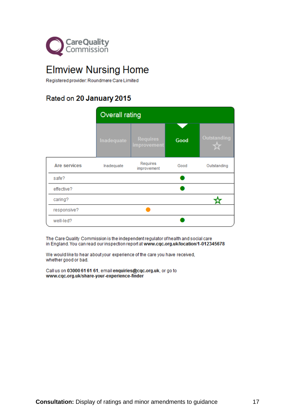

# **Elmview Nursing Home**

Registered provider: Roundmere Care Limited

### Rated on 20 January 2015

|              | Overall rating |                                |      |             |
|--------------|----------------|--------------------------------|------|-------------|
|              | Inadequate     | <b>Requires</b><br>improvement | Good | Outstanding |
| Are services | Inadequate     | Requires<br>improvement        | Good | Outstanding |
| safe?        |                |                                |      |             |
| effective?   |                |                                |      |             |
| caring?      |                |                                |      |             |
| responsive?  |                |                                |      |             |
| well-led?    |                |                                |      |             |

The Care Quality Commission is the independent regulator of health and social care in England. You can read our inspection report at www.cqc.org.uk/location/1-012345678

We would like to hear about your experience of the care you have received, whether good or bad.

Call us on 03000 61 61 61, email enquiries@cqc.org.uk, or go to www.cqc.org.uk/share-your-experience-finder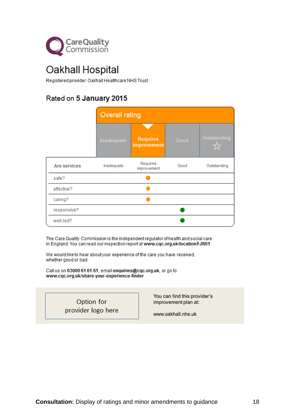

# Oakhall Hospital

Registered provider: Oakhall Healthcare NHS Trust

### Rated on 5 January 2015

|              | <b>Overall rating</b> |                                |      |             |
|--------------|-----------------------|--------------------------------|------|-------------|
|              | Inadequate            | <b>Requires</b><br>improvement | Good | Outstanding |
| Are services | Inadequate            | Requires<br>improvement        | Good | Outstanding |
| safe?        |                       |                                |      |             |
| effective?   |                       |                                |      |             |
| caring?      |                       |                                |      |             |
| responsive?  |                       |                                |      |             |
| well-led?    |                       |                                |      |             |

The Care Quality Commission is the independent regulator of health and social care in England. You can read our inspection report at www.cqc.org.uk/location/FJR01

We would like to hear about your experience of the care you have received, whether good or bad.

Call us on 03000 61 61 61, email enquiries@cqc.org.uk, or go to www.cqc.org.uk/share-your-experience-finder

> Option for provider logo here

You can find this provider's improvement plan at:

www.oakhall.nhs.uk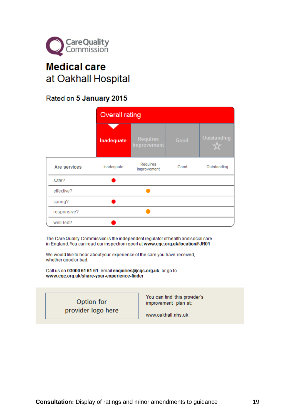

# **Medical care** at Oakhall Hospital

### Rated on 5 January 2015

|              | <b>Overall rating</b> |                                |      |                    |
|--------------|-----------------------|--------------------------------|------|--------------------|
|              | Inadequate            | <b>Requires</b><br>improvement | Good | <b>Outstanding</b> |
| Are services | Inadequate            | Requires<br>improvement        | Good | Outstanding        |
| safe?        |                       |                                |      |                    |
| effective?   |                       |                                |      |                    |
| caring?      |                       |                                |      |                    |
| responsive?  |                       |                                |      |                    |
| well-led?    |                       |                                |      |                    |

The Care Quality Commission is the independent regulator of health and social care in England. You can read our inspection report at www.cqc.org.uk/location/FJR01

We would like to hear about your experience of the care you have received, whether good or bad.

Call us on 03000 61 61 61, email enquiries@cqc.org.uk, or go to www.cqc.org.uk/share-your-experience-finder

> Option for provider logo here

You can find this provider's improvement plan at:

www.oakhall.nhs.uk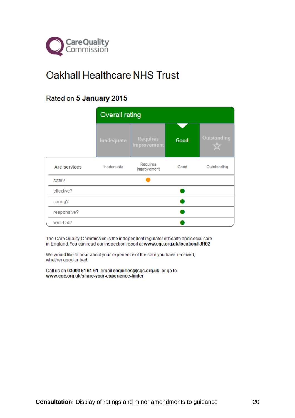

# **Oakhall Healthcare NHS Trust**

### Rated on 5 January 2015

|              | Overall rating |                                |      |             |
|--------------|----------------|--------------------------------|------|-------------|
|              | Inadequate     | <b>Requires</b><br>improvement | Good | Outstanding |
| Are services | Inadequate     | Requires<br>improvement        | Good | Outstanding |
| safe?        |                |                                |      |             |
| effective?   |                |                                |      |             |
| caring?      |                |                                |      |             |
| responsive?  |                |                                |      |             |
| well-led?    |                |                                |      |             |

The Care Quality Commission is the independent regulator of health and social care in England. You can read our inspection report at www.cqc.org.uk/location/FJR02

We would like to hear about your experience of the care you have received, whether good or bad.

Call us on 03000 61 61 61, email enquiries@cqc.org.uk, or go to www.cqc.org.uk/share-your-experience-finder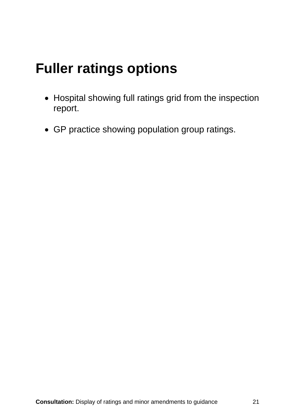# **Fuller ratings options**

- Hospital showing full ratings grid from the inspection report.
- GP practice showing population group ratings.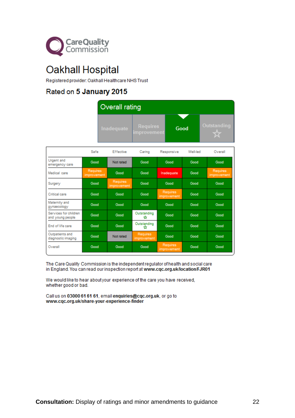

# Oakhall Hospital

Registered provider: Oakhall Healthcare NHS Trust

### Rated on 5 January 2015

| Overall rating |                         |      |             |
|----------------|-------------------------|------|-------------|
| Inadequate     | Requires<br>improvement | Good | Outstanding |

|                                           | Safe                           | <b>Effective</b>               | Caring                         | Responsive              | Well-led | Overall                 |
|-------------------------------------------|--------------------------------|--------------------------------|--------------------------------|-------------------------|----------|-------------------------|
| Urgent and<br>emergency care              | Good                           | Not rated                      | Good                           | Good                    | Good     | Good                    |
| Medical care                              | <b>Requires</b><br>improvement | Good                           | Good                           | Inadequate              | Good     | Requires<br>improvement |
| Surgery                                   | Good                           | <b>Requires</b><br>improvement | Good                           | Good                    | Good     | Good                    |
| Critical care                             | Good                           | Good                           | Good                           | Requires<br>improvement | Good     | Good                    |
| Maternity and<br>gynaecology              | Good                           | Good                           | Good                           | Good                    | Good     | Good                    |
| Services for children<br>and young people | Good                           | Good                           | Outstanding<br>✿               | Good                    | Good     | Good                    |
| End of life care                          | Good                           | Good                           | Outstanding<br>ŵ               | Good                    | Good     | Good                    |
| Outpatients and<br>diagnostic imaging     | Good                           | Not rated                      | <b>Requires</b><br>improvement | Good                    | Good     | Good                    |
| Overall                                   | Good                           | Good                           | Good                           | Requires<br>improvement | Good     | Good                    |

The Care Quality Commission is the independent regulator of health and social care in England. You can read our inspection report at www.cqc.org.uk/location/FJR01

We would like to hear about your experience of the care you have received, whether good or bad.

Call us on 03000 61 61 61, email enquiries@cqc.org.uk, or go to www.cqc.org.uk/share-your-experience-finder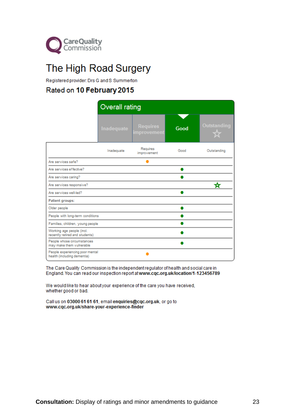

# The High Road Surgery

Registered provider: Drs G and S Summerton

#### Rated on 10 February 2015

|                                                                | <b>Overall rating</b> |                                |      |             |
|----------------------------------------------------------------|-----------------------|--------------------------------|------|-------------|
|                                                                | Inadequate            | <b>Requires</b><br>improvement | Good | Outstanding |
|                                                                | Inadequate            | Requires<br>improvement        | Good | Outstanding |
| Are services safe?                                             |                       |                                |      |             |
| Are services effective?                                        |                       |                                |      |             |
| Are services caring?                                           |                       |                                |      |             |
| Are services responsive?                                       |                       |                                |      | ₩           |
| Are services well-led?                                         |                       |                                |      |             |
| Patient groups:                                                |                       |                                |      |             |
| Older people                                                   |                       |                                |      |             |
| People with long-term conditions                               |                       |                                |      |             |
| Families, children, young people                               |                       |                                |      |             |
| Working age people (incl.<br>recently retired and students)    |                       |                                |      |             |
| People whose circumstances<br>may make them vulnerable         |                       |                                |      |             |
| People experiencing poor mental<br>health (including dementia) |                       |                                |      |             |

The Care Quality Commission is the independent regulator of health and social care in England. You can read our inspection report at www.cqc.org.uk/location/1-123456789

We would like to hear about your experience of the care you have received, whether good or bad.

Call us on 03000 61 61 61, email enquiries@cqc.org.uk, or go to www.cqc.org.uk/share-your-experience-finder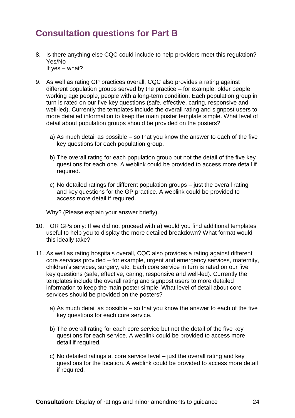### <span id="page-23-0"></span>**Consultation questions for Part B**

- 8. Is there anything else CQC could include to help providers meet this regulation? Yes/No If yes – what?
- 9. As well as rating GP practices overall, CQC also provides a rating against different population groups served by the practice – for example, older people, working age people, people with a long-term condition. Each population group in turn is rated on our five key questions (safe, effective, caring, responsive and well-led). Currently the templates include the overall rating and signpost users to more detailed information to keep the main poster template simple. What level of detail about population groups should be provided on the posters?
	- a) As much detail as possible so that you know the answer to each of the five key questions for each population group.
	- b) The overall rating for each population group but not the detail of the five key questions for each one. A weblink could be provided to access more detail if required.
	- c) No detailed ratings for different population groups just the overall rating and key questions for the GP practice. A weblink could be provided to access more detail if required.

Why? (Please explain your answer briefly).

- 10. FOR GPs only: If we did not proceed with a) would you find additional templates useful to help you to display the more detailed breakdown? What format would this ideally take?
- 11. As well as rating hospitals overall, CQC also provides a rating against different core services provided – for example, urgent and emergency services, maternity, children's services, surgery, etc. Each core service in turn is rated on our five key questions (safe, effective, caring, responsive and well-led). Currently the templates include the overall rating and signpost users to more detailed information to keep the main poster simple. What level of detail about core services should be provided on the posters?
	- a) As much detail as possible so that you know the answer to each of the five key questions for each core service.
	- b) The overall rating for each core service but not the detail of the five key questions for each service. A weblink could be provided to access more detail if required.
	- c) No detailed ratings at core service level just the overall rating and key questions for the location. A weblink could be provided to access more detail if required.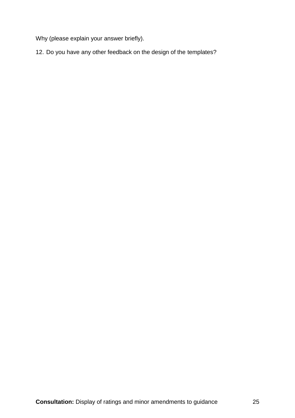Why (please explain your answer briefly).

12. Do you have any other feedback on the design of the templates?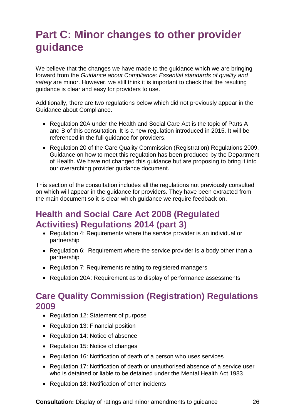# <span id="page-25-0"></span>**Part C: Minor changes to other provider guidance**

We believe that the changes we have made to the guidance which we are bringing forward from the *Guidance about Compliance: Essential standards of quality and safety* are minor. However, we still think it is important to check that the resulting guidance is clear and easy for providers to use.

Additionally, there are two regulations below which did not previously appear in the Guidance about Compliance.

- Regulation 20A under the Health and Social Care Act is the topic of Parts A and B of this consultation. It is a new regulation introduced in 2015. It will be referenced in the full guidance for providers.
- Regulation 20 of the Care Quality Commission (Registration) Regulations 2009. Guidance on how to meet this regulation has been produced by the Department of Health. We have not changed this guidance but are proposing to bring it into our overarching provider guidance document.

This section of the consultation includes all the regulations not previously consulted on which will appear in the guidance for providers. They have been extracted from the main document so it is clear which guidance we require feedback on.

### **Health and Social Care Act 2008 (Regulated Activities) Regulations 2014 (part 3)**

- Regulation 4: Requirements where the service provider is an individual or partnership
- Regulation 6: Requirement where the service provider is a body other than a partnership
- Regulation 7: Requirements relating to registered managers
- Regulation 20A: Requirement as to display of performance assessments

### **Care Quality Commission (Registration) Regulations 2009**

- Regulation 12: Statement of purpose
- Regulation 13: Financial position
- Regulation 14: Notice of absence
- Regulation 15: Notice of changes
- Regulation 16: Notification of death of a person who uses services
- Regulation 17: Notification of death or unauthorised absence of a service user who is detained or liable to be detained under the Mental Health Act 1983
- Regulation 18: Notification of other incidents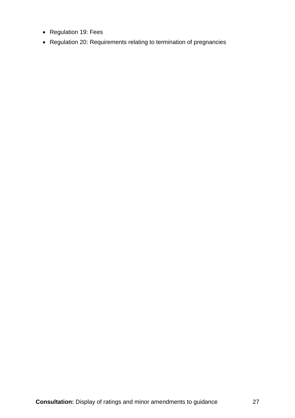- Regulation 19: Fees
- Regulation 20: Requirements relating to termination of pregnancies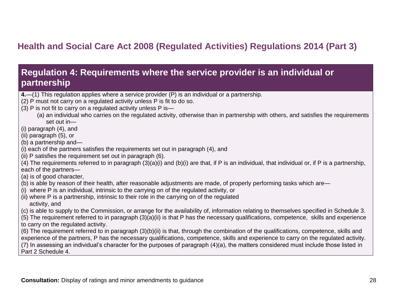# **Health and Social Care Act 2008 (Regulated Activities) Regulations 2014 (Part 3)**

### **Regulation 4: Requirements where the service provider is an individual or partnership**

- **4.**—(1) This regulation applies where a service provider (P) is an individual or a partnership.
- (2) P must not carry on a regulated activity unless P is fit to do so.
- (3) P is not fit to carry on a regulated activity unless P is—
	- (a) an individual who carries on the regulated activity, otherwise than in partnership with others, and satisfies the requirements set out in—
- (i) paragraph (4), and
- (ii) paragraph (5), or
- (b) a partnership and—
- (i) each of the partners satisfies the requirements set out in paragraph (4), and
- (ii) P satisfies the requirement set out in paragraph (6).
- <span id="page-27-0"></span> $(4)$  The requirements referred to in paragraph  $(3)(a)(i)$  and  $(b)(i)$  are that, if P is an individual, that individual or, if P is a partnership, each of the partners—
- (a) is of good character,
- (b) is able by reason of their health, after reasonable adjustments are made, of properly performing tasks which are—
- <span id="page-27-1"></span>(i) where P is an individual, intrinsic to the carrying on of the regulated activity, or
- (ii) where P is a partnership, intrinsic to their role in the carrying on of the regulated activity, and
- (c) is able to supply to the Commission, or arrange for the availability of, information relating to themselves specified in Schedule 3.
- (5) The requirement referred to in paragraph (3)(a)(ii) is that P has the necessary qualifications, competence, skills and experience to carry on the regulated activity.
- (6) The requirement referred to in paragraph (3)(b)(ii) is that, through the combination of the qualifications, competence, skills and experience of the partners, P has the necessary qualifications, competence, skills and experience to carry on the regulated activity.

(7) In assessing an individual's character for the purposes of paragraph (4)(a), the matters considered must include those listed in Part 2 Schedule 4.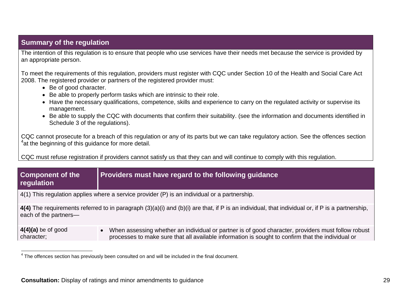#### **Summary of the regulation**

The intention of this regulation is to ensure that people who use services have their needs met because the service is provided by an appropriate person.

To meet the requirements of this regulation, providers must register with CQC under Section 10 of the Health and Social Care Act 2008. The registered provider or partners of the registered provider must:

- Be of good character.
- Be able to properly perform tasks which are intrinsic to their role.
- Have the necessary qualifications, competence, skills and experience to carry on the regulated activity or supervise its management.
- Be able to supply the CQC with documents that confirm their suitability. (see the information and documents identified in Schedule 3 of the regulations).

CQC cannot prosecute for a breach of this regulation or any of its parts but we can take regulatory action. See the offences section <sup>4</sup>at the beginning of this guidance for more detail.

CQC must refuse registration if providers cannot satisfy us that they can and will continue to comply with this regulation.

| Component of the<br>regulation                                                                                                                                           | Providers must have regard to the following guidance                                                                                                                                                                 |  |
|--------------------------------------------------------------------------------------------------------------------------------------------------------------------------|----------------------------------------------------------------------------------------------------------------------------------------------------------------------------------------------------------------------|--|
| $4(1)$ This regulation applies where a service provider (P) is an individual or a partnership.                                                                           |                                                                                                                                                                                                                      |  |
| 4(4) The requirements referred to in paragraph (3)(a)(i) and (b)(i) are that, if P is an individual, that individual or, if P is a partnership,<br>each of the partners- |                                                                                                                                                                                                                      |  |
| $4(4)(a)$ be of good<br>character;                                                                                                                                       | When assessing whether an individual or partner is of good character, providers must follow robust<br>$\bullet$<br>processes to make sure that all available information is sought to confirm that the individual or |  |

<sup>————————————————————&</sup>lt;br><sup>4</sup> The offences section has previously been consulted on and will be included in the final document.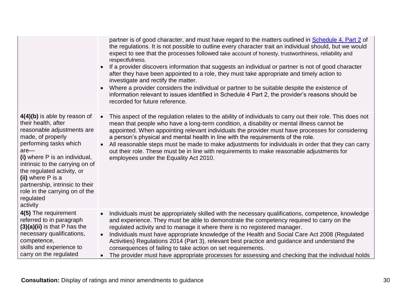|                                                                                                                                                                                                                                                                                                                                                                 | partner is of good character, and must have regard to the matters outlined in <b>Schedule 4, Part 2</b> of<br>the regulations. It is not possible to outline every character trait an individual should, but we would<br>expect to see that the processes followed take account of honesty, trustworthiness, reliability and<br>respectfulness.<br>If a provider discovers information that suggests an individual or partner is not of good character<br>after they have been appointed to a role, they must take appropriate and timely action to<br>investigate and rectify the matter.<br>Where a provider considers the individual or partner to be suitable despite the existence of<br>information relevant to issues identified in Schedule 4 Part 2, the provider's reasons should be<br>recorded for future reference. |
|-----------------------------------------------------------------------------------------------------------------------------------------------------------------------------------------------------------------------------------------------------------------------------------------------------------------------------------------------------------------|----------------------------------------------------------------------------------------------------------------------------------------------------------------------------------------------------------------------------------------------------------------------------------------------------------------------------------------------------------------------------------------------------------------------------------------------------------------------------------------------------------------------------------------------------------------------------------------------------------------------------------------------------------------------------------------------------------------------------------------------------------------------------------------------------------------------------------|
| 4(4)(b) is able by reason of<br>their health, after<br>reasonable adjustments are<br>made, of properly<br>performing tasks which<br>$are-$<br>(i) where P is an individual,<br>intrinsic to the carrying on of<br>the regulated activity, or<br>(ii) where P is a<br>partnership, intrinsic to their<br>role in the carrying on of the<br>regulated<br>activity | This aspect of the regulation relates to the ability of individuals to carry out their role. This does not<br>mean that people who have a long-term condition, a disability or mental illness cannot be<br>appointed. When appointing relevant individuals the provider must have processes for considering<br>a person's physical and mental health in line with the requirements of the role.<br>All reasonable steps must be made to make adjustments for individuals in order that they can carry<br>$\bullet$<br>out their role. These must be in line with requirements to make reasonable adjustments for<br>employees under the Equality Act 2010.                                                                                                                                                                       |
| 4(5) The requirement<br>referred to in paragraph<br>$(3)(a)(ii)$ is that P has the<br>necessary qualifications,<br>competence,<br>skills and experience to<br>carry on the regulated                                                                                                                                                                            | Individuals must be appropriately skilled with the necessary qualifications, competence, knowledge<br>$\bullet$<br>and experience. They must be able to demonstrate the competency required to carry on the<br>regulated activity and to manage it where there is no registered manager.<br>Individuals must have appropriate knowledge of the Health and Social Care Act 2008 (Regulated<br>$\bullet$<br>Activities) Regulations 2014 (Part 3), relevant best practice and guidance and understand the<br>consequences of failing to take action on set requirements.<br>The provider must have appropriate processes for assessing and checking that the individual holds                                                                                                                                                      |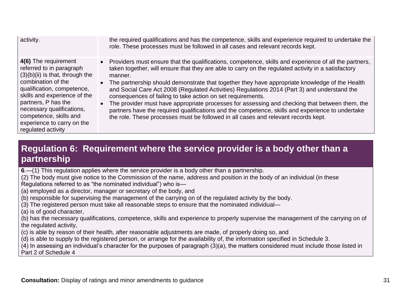| activity.                                                                                                                                                                                                                                                                                                   | the required qualifications and has the competence, skills and experience required to undertake the<br>role. These processes must be followed in all cases and relevant records kept.                                                                                                                                                                                                                                                                                                                                                                                                                                                                                                                                                                                                    |
|-------------------------------------------------------------------------------------------------------------------------------------------------------------------------------------------------------------------------------------------------------------------------------------------------------------|------------------------------------------------------------------------------------------------------------------------------------------------------------------------------------------------------------------------------------------------------------------------------------------------------------------------------------------------------------------------------------------------------------------------------------------------------------------------------------------------------------------------------------------------------------------------------------------------------------------------------------------------------------------------------------------------------------------------------------------------------------------------------------------|
| 4(6) The requirement<br>referred to in paragraph<br>$(3)(b)(ii)$ is that, through the<br>combination of the<br>qualification, competence,<br>skills and experience of the<br>partners, P has the<br>necessary qualifications,<br>competence, skills and<br>experience to carry on the<br>regulated activity | • Providers must ensure that the qualifications, competence, skills and experience of all the partners,<br>taken together, will ensure that they are able to carry on the regulated activity in a satisfactory<br>manner.<br>• The partnership should demonstrate that together they have appropriate knowledge of the Health<br>and Social Care Act 2008 (Regulated Activities) Regulations 2014 (Part 3) and understand the<br>consequences of failing to take action on set requirements.<br>The provider must have appropriate processes for assessing and checking that between them, the<br>partners have the required qualifications and the competence, skills and experience to undertake<br>the role. These processes must be followed in all cases and relevant records kept. |

### **Regulation 6: Requirement where the service provider is a body other than a partnership**

**6**.—(1) This regulation applies where the service provider is a body other than a partnership.

(2) The body must give notice to the Commission of the name, address and position in the body of an individual (in these Regulations referred to as "the nominated individual") who is—

(a) employed as a director, manager or secretary of the body, and

(b) responsible for supervising the management of the carrying on of the regulated activity by the body.

(3) The registered person must take all reasonable steps to ensure that the nominated individual—

(a) is of good character,

(b) has the necessary qualifications, competence, skills and experience to properly supervise the management of the carrying on of the regulated activity,

(c) is able by reason of their health, after reasonable adjustments are made, of properly doing so, and

(d) is able to supply to the registered person, or arrange for the availability of, the information specified in Schedule 3.

<span id="page-30-0"></span>(4) In assessing an individual's character for the purposes of paragraph (3)(a), the matters considered must include those listed in Part 2 of Schedule 4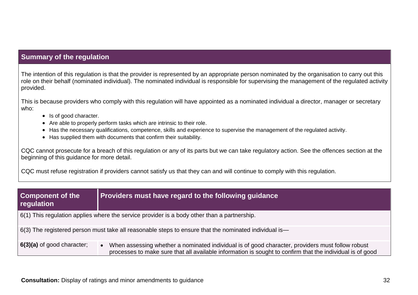#### **Summary of the regulation**

The intention of this regulation is that the provider is represented by an appropriate person nominated by the organisation to carry out this role on their behalf (nominated individual). The nominated individual is responsible for supervising the management of the regulated activity provided.

This is because providers who comply with this regulation will have appointed as a nominated individual a director, manager or secretary who:

- Is of good character.
- Are able to properly perform tasks which are intrinsic to their role.
- Has the necessary qualifications, competence, skills and experience to supervise the management of the regulated activity.
- Has supplied them with documents that confirm their suitability.

CQC cannot prosecute for a breach of this regulation or any of its parts but we can take regulatory action. See the offences section at the beginning of this guidance for more detail.

CQC must refuse registration if providers cannot satisfy us that they can and will continue to comply with this regulation.

| <b>Component of the</b><br>regulation                                                                        | Providers must have regard to the following guidance                                                                                                                                                                       |
|--------------------------------------------------------------------------------------------------------------|----------------------------------------------------------------------------------------------------------------------------------------------------------------------------------------------------------------------------|
|                                                                                                              | $\vert$ 6(1) This regulation applies where the service provider is a body other than a partnership.                                                                                                                        |
| $\mid$ 6(3) The registered person must take all reasonable steps to ensure that the nominated individual is— |                                                                                                                                                                                                                            |
| $\vert$ 6(3)(a) of good character;                                                                           | When assessing whether a nominated individual is of good character, providers must follow robust<br>$\bullet$<br>processes to make sure that all available information is sought to confirm that the individual is of good |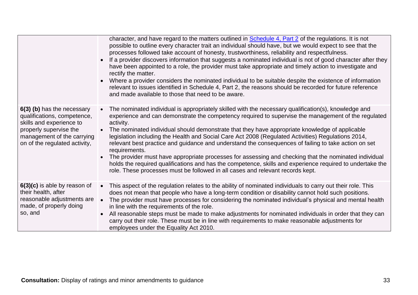|                                                                                                                                                                                | character, and have regard to the matters outlined in Schedule 4, Part 2 of the regulations. It is not<br>possible to outline every character trait an individual should have, but we would expect to see that the<br>processes followed take account of honesty, trustworthiness, reliability and respectfulness.<br>If a provider discovers information that suggests a nominated individual is not of good character after they<br>$\bullet$<br>have been appointed to a role, the provider must take appropriate and timely action to investigate and<br>rectify the matter.<br>• Where a provider considers the nominated individual to be suitable despite the existence of information<br>relevant to issues identified in Schedule 4, Part 2, the reasons should be recorded for future reference<br>and made available to those that need to be aware.   |
|--------------------------------------------------------------------------------------------------------------------------------------------------------------------------------|-------------------------------------------------------------------------------------------------------------------------------------------------------------------------------------------------------------------------------------------------------------------------------------------------------------------------------------------------------------------------------------------------------------------------------------------------------------------------------------------------------------------------------------------------------------------------------------------------------------------------------------------------------------------------------------------------------------------------------------------------------------------------------------------------------------------------------------------------------------------|
| 6(3) (b) has the necessary<br>qualifications, competence,<br>skills and experience to<br>properly supervise the<br>management of the carrying<br>on of the regulated activity, | The nominated individual is appropriately skilled with the necessary qualification(s), knowledge and<br>experience and can demonstrate the competency required to supervise the management of the regulated<br>activity.<br>The nominated individual should demonstrate that they have appropriate knowledge of applicable<br>legislation including the Health and Social Care Act 2008 (Regulated Activities) Regulations 2014,<br>relevant best practice and guidance and understand the consequences of failing to take action on set<br>requirements.<br>The provider must have appropriate processes for assessing and checking that the nominated individual<br>holds the required qualifications and has the competence, skills and experience required to undertake the<br>role. These processes must be followed in all cases and relevant records kept. |
| 6(3)(c) is able by reason of<br>their health, after<br>reasonable adjustments are<br>made, of properly doing<br>so, and                                                        | This aspect of the regulation relates to the ability of nominated individuals to carry out their role. This<br>does not mean that people who have a long-term condition or disability cannot hold such positions.<br>The provider must have processes for considering the nominated individual's physical and mental health<br>$\bullet$<br>in line with the requirements of the role.<br>All reasonable steps must be made to make adjustments for nominated individuals in order that they can<br>carry out their role. These must be in line with requirements to make reasonable adjustments for<br>employees under the Equality Act 2010.                                                                                                                                                                                                                    |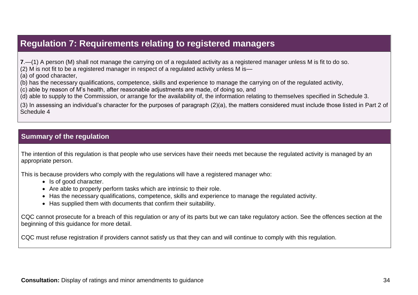### **Regulation 7: Requirements relating to registered managers**

**7**.—(1) A person (M) shall not manage the carrying on of a regulated activity as a registered manager unless M is fit to do so. (2) M is not fit to be a registered manager in respect of a regulated activity unless M is—

(a) of good character,

(b) has the necessary qualifications, competence, skills and experience to manage the carrying on of the regulated activity,

(c) able by reason of M's health, after reasonable adjustments are made, of doing so, and

(d) able to supply to the Commission, or arrange for the availability of, the information relating to themselves specified in Schedule 3.

(3) In assessing an individual's character for the purposes of paragraph (2)(a), the matters considered must include those listed in Part 2 of Schedule 4

#### **Summary of the regulation**

<span id="page-33-0"></span>The intention of this regulation is that people who use services have their needs met because the regulated activity is managed by an appropriate person.

This is because providers who comply with the regulations will have a registered manager who:

- Is of good character.
- Are able to properly perform tasks which are intrinsic to their role.
- Has the necessary qualifications, competence, skills and experience to manage the regulated activity.
- Has supplied them with documents that confirm their suitability.

CQC cannot prosecute for a breach of this regulation or any of its parts but we can take regulatory action. See the offences section at the beginning of this guidance for more detail.

CQC must refuse registration if providers cannot satisfy us that they can and will continue to comply with this regulation.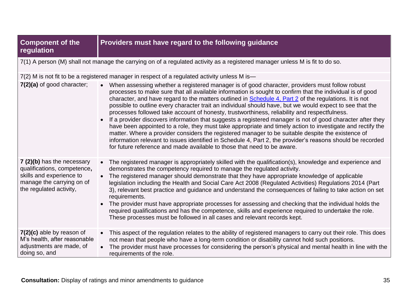| <b>Component of the</b><br>regulation                                                                                                         | Providers must have regard to the following guidance                                                                                                                                                                                                                                                                                                                                                                                                                                                                                                                                                                                                                                                                                                                                                                                                                                                                                                                                                                                                                     |
|-----------------------------------------------------------------------------------------------------------------------------------------------|--------------------------------------------------------------------------------------------------------------------------------------------------------------------------------------------------------------------------------------------------------------------------------------------------------------------------------------------------------------------------------------------------------------------------------------------------------------------------------------------------------------------------------------------------------------------------------------------------------------------------------------------------------------------------------------------------------------------------------------------------------------------------------------------------------------------------------------------------------------------------------------------------------------------------------------------------------------------------------------------------------------------------------------------------------------------------|
|                                                                                                                                               | 7(1) A person (M) shall not manage the carrying on of a regulated activity as a registered manager unless M is fit to do so.                                                                                                                                                                                                                                                                                                                                                                                                                                                                                                                                                                                                                                                                                                                                                                                                                                                                                                                                             |
|                                                                                                                                               | 7(2) M is not fit to be a registered manager in respect of a regulated activity unless M is-                                                                                                                                                                                                                                                                                                                                                                                                                                                                                                                                                                                                                                                                                                                                                                                                                                                                                                                                                                             |
| 7(2)(a) of good character;                                                                                                                    | When assessing whether a registered manager is of good character, providers must follow robust<br>$\bullet$<br>processes to make sure that all available information is sought to confirm that the individual is of good<br>character, and have regard to the matters outlined in Schedule 4, Part 2 of the regulations. It is not<br>possible to outline every character trait an individual should have, but we would expect to see that the<br>processes followed take account of honesty, trustworthiness, reliability and respectfulness.<br>If a provider discovers information that suggests a registered manager is not of good character after they<br>have been appointed to a role, they must take appropriate and timely action to investigate and rectify the<br>matter. Where a provider considers the registered manager to be suitable despite the existence of<br>information relevant to issues identified in Schedule 4, Part 2, the provider's reasons should be recorded<br>for future reference and made available to those that need to be aware. |
| 7 (2)(b) has the necessary<br>qualifications, competence,<br>skills and experience to<br>manage the carrying on of<br>the regulated activity, | The registered manager is appropriately skilled with the qualification(s), knowledge and experience and<br>demonstrates the competency required to manage the regulated activity.<br>The registered manager should demonstrate that they have appropriate knowledge of applicable<br>legislation including the Health and Social Care Act 2008 (Regulated Activities) Regulations 2014 (Part<br>3), relevant best practice and guidance and understand the consequences of failing to take action on set<br>requirements.<br>The provider must have appropriate processes for assessing and checking that the individual holds the<br>required qualifications and has the competence, skills and experience required to undertake the role.<br>These processes must be followed in all cases and relevant records kept.                                                                                                                                                                                                                                                  |
| $7(2)(c)$ able by reason of<br>M's health, after reasonable<br>adjustments are made, of<br>doing so, and                                      | This aspect of the regulation relates to the ability of registered managers to carry out their role. This does<br>not mean that people who have a long-term condition or disability cannot hold such positions.<br>The provider must have processes for considering the person's physical and mental health in line with the<br>requirements of the role.                                                                                                                                                                                                                                                                                                                                                                                                                                                                                                                                                                                                                                                                                                                |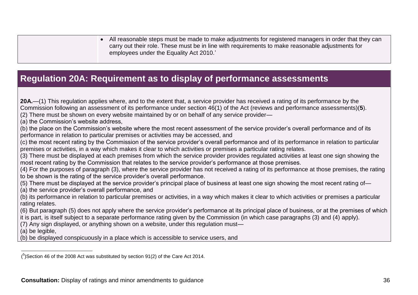All reasonable steps must be made to make adjustments for registered managers in order that they can carry out their role. These must be in line with requirements to make reasonable adjustments for employees under the Equality Act 2010.'

### **Regulation 20A: Requirement as to display of performance assessments**

**20A.**—(1) This regulation applies where, and to the extent that, a service provider has received a rating of its performance by the Commission following an assessment of its performance under section 46(1) of the Act (reviews and performance assessments)(**5**). (2) There must be shown on every website maintained by or on behalf of any service provider— (a) the Commission's website address, (b) the place on the Commission's website where the most recent assessment of the service provider's overall performance and of its performance in relation to particular premises or activities may be accessed, and (c) the most recent rating by the Commission of the service provider's overall performance and of its performance in relation to particular premises or activities, in a way which makes it clear to which activities or premises a particular rating relates. (3) There must be displayed at each premises from which the service provider provides regulated activities at least one sign showing the most recent rating by the Commission that relates to the service provider's performance at those premises. (4) For the purposes of paragraph (3), where the service provider has not received a rating of its performance at those premises, the rating to be shown is the rating of the service provider's overall performance. (5) There must be displayed at the service provider's principal place of business at least one sign showing the most recent rating of— (a) the service provider's overall performance, and (b) its performance in relation to particular premises or activities, in a way which makes it clear to which activities or premises a particular rating relates. (6) But paragraph (5) does not apply where the service provider's performance at its principal place of business, or at the premises of which it is part, is itself subject to a separate performance rating given by the Commission (in which case paragraphs (3) and (4) apply). (7) Any sign displayed, or anything shown on a website, under this regulation must— (a) be legible, (b) be displayed conspicuously in a place which is accessible to service users, and

<span id="page-35-0"></span>l  $(^{5})$ Section 46 of the 2008 Act was substituted by section 91(2) of the Care Act 2014.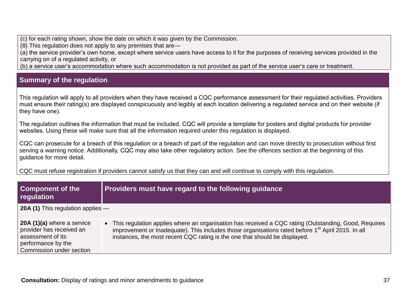(c) for each rating shown, show the date on which it was given by the Commission.

(8) This regulation does not apply to any premises that are—

(a) the service provider's own home, except where service users have access to it for the purposes of receiving services provided in the carrying on of a regulated activity, or

(b) a service user's accommodation where such accommodation is not provided as part of the service user's care or treatment.

#### **Summary of the regulation**

This regulation will apply to all providers when they have received a CQC performance assessment for their regulated activities. Providers must ensure their rating(s) are displayed conspicuously and legibly at each location delivering a regulated service and on their website (if they have one).

The regulation outlines the information that must be included. CQC will provide a template for posters and digital products for provider websites. Using these will make sure that all the information required under this regulation is displayed.

CQC can prosecute for a breach of this regulation or a breach of part of the regulation and can move directly to prosecution without first serving a warning notice. Additionally, CQC may also take other regulatory action. See the offences section at the beginning of this guidance for more detail.

CQC must refuse registration if providers cannot satisfy us that they can and will continue to comply with this regulation.

| <b>Component of the</b><br>regulation                                                                                         | Providers must have regard to the following guidance                                                                                                                                                                                                                                                  |
|-------------------------------------------------------------------------------------------------------------------------------|-------------------------------------------------------------------------------------------------------------------------------------------------------------------------------------------------------------------------------------------------------------------------------------------------------|
| <b>20A (1)</b> This regulation applies —                                                                                      |                                                                                                                                                                                                                                                                                                       |
| 20A (1)(a) where a service<br>provider has received an<br>assessment of its<br>performance by the<br>Commission under section | • This regulation applies where an organisation has received a CQC rating (Outstanding, Good, Requires<br>improvement or Inadequate). This includes those organisations rated before 1 <sup>st</sup> April 2015. In all<br>instances, the most recent CQC rating is the one that should be displayed. |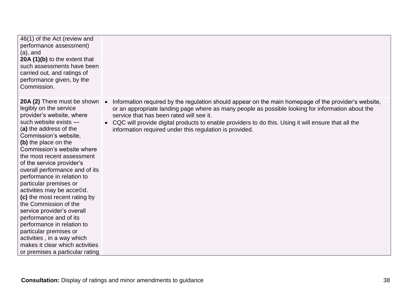| 46(1) of the Act (review and<br>performance assessment)<br>$(a)$ , and<br>20A (1)(b) to the extent that<br>such assessments have been<br>carried out, and ratings of<br>performance given, by the<br>Commission.                                                                                                                                                                                                                                                                                                                                                                                                                                                                       |                                                                                                                                                                                                                                                                                                                                                                                                                         |
|----------------------------------------------------------------------------------------------------------------------------------------------------------------------------------------------------------------------------------------------------------------------------------------------------------------------------------------------------------------------------------------------------------------------------------------------------------------------------------------------------------------------------------------------------------------------------------------------------------------------------------------------------------------------------------------|-------------------------------------------------------------------------------------------------------------------------------------------------------------------------------------------------------------------------------------------------------------------------------------------------------------------------------------------------------------------------------------------------------------------------|
| 20A (2) There must be shown •<br>legibly on the service<br>provider's website, where<br>such website exists -<br>(a) the address of the<br>Commission's website,<br>(b) the place on the<br>Commission's website where<br>the most recent assessment<br>of the service provider's<br>overall performance and of its<br>performance in relation to<br>particular premises or<br>activities may be acce©d.<br>(c) the most recent rating by<br>the Commission of the<br>service provider's overall<br>performance and of its<br>performance in relation to<br>particular premises or<br>activities, in a way which<br>makes it clear which activities<br>or premises a particular rating | Information required by the regulation should appear on the main homepage of the provider's website,<br>or an appropriate landing page where as many people as possible looking for information about the<br>service that has been rated will see it.<br>CQC will provide digital products to enable providers to do this. Using it will ensure that all the<br>information required under this regulation is provided. |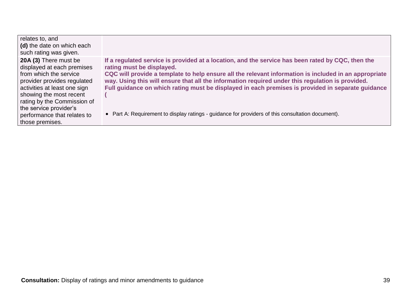| relates to, and<br>(d) the date on which each<br>such rating was given.                                                                                                                                                                                                            |                                                                                                                                                                                                                                                                                                                                                                                                                                                                                                                                                       |
|------------------------------------------------------------------------------------------------------------------------------------------------------------------------------------------------------------------------------------------------------------------------------------|-------------------------------------------------------------------------------------------------------------------------------------------------------------------------------------------------------------------------------------------------------------------------------------------------------------------------------------------------------------------------------------------------------------------------------------------------------------------------------------------------------------------------------------------------------|
| 20A (3) There must be<br>displayed at each premises<br>from which the service<br>provider provides regulated<br>activities at least one sign<br>showing the most recent<br>rating by the Commission of<br>the service provider's<br>performance that relates to<br>those premises. | If a regulated service is provided at a location, and the service has been rated by CQC, then the<br>rating must be displayed.<br>CQC will provide a template to help ensure all the relevant information is included in an appropriate<br>way. Using this will ensure that all the information required under this regulation is provided.<br>Full guidance on which rating must be displayed in each premises is provided in separate guidance<br>• Part A: Requirement to display ratings - guidance for providers of this consultation document). |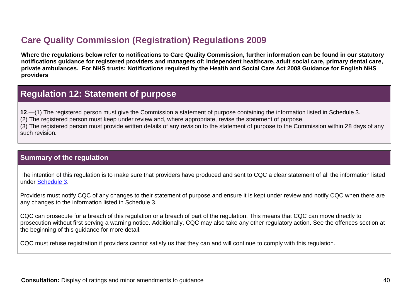## **Care Quality Commission (Registration) Regulations 2009**

**Where the regulations below refer to notifications to Care Quality Commission, further information can be found in our statutory notifications guidance for registered providers and managers of: independent healthcare, adult social care, primary dental care, private ambulances. For NHS trusts: Notifications required by the Health and Social Care Act 2008 Guidance for English NHS providers**

### **Regulation 12: Statement of purpose**

**12**.—(1) The registered person must give the Commission a statement of purpose containing the information listed in Schedule 3.

(2) The registered person must keep under review and, where appropriate, revise the statement of purpose.

(3) The registered person must provide written details of any revision to the statement of purpose to the Commission within 28 days of any such revision.

#### <span id="page-39-0"></span>**Summary of the regulation**

The intention of this regulation is to make sure that providers have produced and sent to CQC a clear statement of all the information listed under [Schedule 3.](http://www.legislation.gov.uk/uksi/2009/3112/schedule/3/made)

Providers must notify CQC of any changes to their statement of purpose and ensure it is kept under review and notify CQC when there are any changes to the information listed in Schedule 3.

<span id="page-39-1"></span>CQC can prosecute for a breach of this regulation or a breach of part of the regulation. This means that CQC can move directly to prosecution without first serving a warning notice. Additionally, CQC may also take any other regulatory action. See the offences section at the beginning of this guidance for more detail.

CQC must refuse registration if providers cannot satisfy us that they can and will continue to comply with this regulation.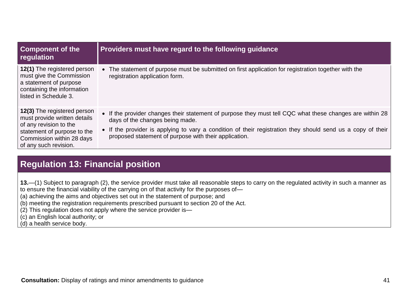| <b>Component of the</b><br>regulation                                                                                                                                      | Providers must have regard to the following guidance                                                                                                                                                                                                                                                                |
|----------------------------------------------------------------------------------------------------------------------------------------------------------------------------|---------------------------------------------------------------------------------------------------------------------------------------------------------------------------------------------------------------------------------------------------------------------------------------------------------------------|
| 12(1) The registered person<br>must give the Commission<br>a statement of purpose<br>containing the information<br>listed in Schedule 3.                                   | The statement of purpose must be submitted on first application for registration together with the<br>$\bullet$<br>registration application form.                                                                                                                                                                   |
| 12(3) The registered person<br>must provide written details<br>of any revision to the<br>statement of purpose to the<br>Commission within 28 days<br>of any such revision. | • If the provider changes their statement of purpose they must tell CQC what these changes are within 28<br>days of the changes being made.<br>• If the provider is applying to vary a condition of their registration they should send us a copy of their<br>proposed statement of purpose with their application. |

## **Regulation 13: Financial position**

**13.**—(1) Subject to paragraph (2), the service provider must take all reasonable steps to carry on the regulated activity in such a manner as to ensure the financial viability of the carrying on of that activity for the purposes of—

(a) achieving the aims and objectives set out in the statement of purpose; and

(b) meeting the registration requirements prescribed pursuant to section 20 of the Act.

(2) This regulation does not apply where the service provider is—

(c) an English local authority; or

<span id="page-40-0"></span>(d) a health service body.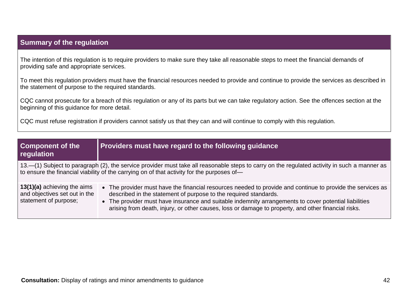#### **Summary of the regulation**

The intention of this regulation is to require providers to make sure they take all reasonable steps to meet the financial demands of providing safe and appropriate services.

To meet this regulation providers must have the financial resources needed to provide and continue to provide the services as described in the statement of purpose to the required standards.

CQC cannot prosecute for a breach of this regulation or any of its parts but we can take regulatory action. See the offences section at the beginning of this guidance for more detail.

CQC must refuse registration if providers cannot satisfy us that they can and will continue to comply with this regulation.

| <b>Component of the</b><br>regulation                                                 | Providers must have regard to the following guidance                                                                                                                                                                                                                                                                                                                                           |
|---------------------------------------------------------------------------------------|------------------------------------------------------------------------------------------------------------------------------------------------------------------------------------------------------------------------------------------------------------------------------------------------------------------------------------------------------------------------------------------------|
|                                                                                       | 13.—(1) Subject to paragraph (2), the service provider must take all reasonable steps to carry on the regulated activity in such a manner as<br>to ensure the financial viability of the carrying on of that activity for the purposes of-                                                                                                                                                     |
| 13(1)(a) achieving the aims<br>and objectives set out in the<br>statement of purpose; | • The provider must have the financial resources needed to provide and continue to provide the services as<br>described in the statement of purpose to the required standards.<br>• The provider must have insurance and suitable indemnity arrangements to cover potential liabilities<br>arising from death, injury, or other causes, loss or damage to property, and other financial risks. |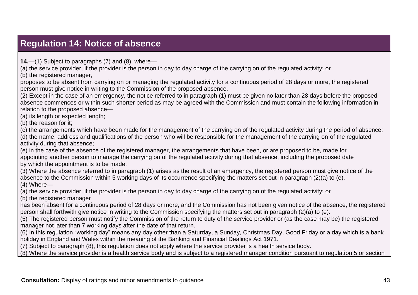# **Regulation 14: Notice of absence**

**14.**—(1) Subject to paragraphs (7) and (8), where—

(a) the service provider, if the provider is the person in day to day charge of the carrying on of the regulated activity; or

(b) the registered manager,

proposes to be absent from carrying on or managing the regulated activity for a continuous period of 28 days or more, the registered person must give notice in writing to the Commission of the proposed absence.

(2) Except in the case of an emergency, the notice referred to in paragraph (1) must be given no later than 28 days before the proposed absence commences or within such shorter period as may be agreed with the Commission and must contain the following information in relation to the proposed absence—

(a) its length or expected length;

(b) the reason for it;

(c) the arrangements which have been made for the management of the carrying on of the regulated activity during the period of absence; (d) the name, address and qualifications of the person who will be responsible for the management of the carrying on of the regulated activity during that absence;

(e) in the case of the absence of the registered manager, the arrangements that have been, or are proposed to be, made for appointing another person to manage the carrying on of the regulated activity during that absence, including the proposed date by which the appointment is to be made.

<span id="page-42-0"></span>(3) Where the absence referred to in paragraph (1) arises as the result of an emergency, the registered person must give notice of the absence to the Commission within 5 working days of its occurrence specifying the matters set out in paragraph (2)(a) to (e). (4) Where—

(a) the service provider, if the provider is the person in day to day charge of the carrying on of the regulated activity; or

(b) the registered manager

has been absent for a continuous period of 28 days or more, and the Commission has not been given notice of the absence, the registered person shall forthwith give notice in writing to the Commission specifying the matters set out in paragraph (2)(a) to (e).

(5) The registered person must notify the Commission of the return to duty of the service provider or (as the case may be) the registered manager not later than 7 working days after the date of that return.

(6) In this regulation "working day" means any day other than a Saturday, a Sunday, Christmas Day, Good Friday or a day which is a bank holiday in England and Wales within the meaning of the Banking and Financial Dealings Act 1971.

(7) Subject to paragraph (8), this regulation does not apply where the service provider is a health service body.

(8) Where the service provider is a health service body and is subject to a registered manager condition pursuant to regulation 5 or section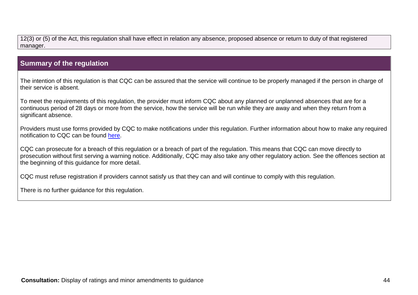12(3) or (5) of the Act, this regulation shall have effect in relation any absence, proposed absence or return to duty of that registered manager.

#### **Summary of the regulation**

The intention of this regulation is that CQC can be assured that the service will continue to be properly managed if the person in charge of their service is absent.

To meet the requirements of this regulation, the provider must inform CQC about any planned or unplanned absences that are for a continuous period of 28 days or more from the service, how the service will be run while they are away and when they return from a significant absence.

Providers must use forms provided by CQC to make notifications under this regulation. Further information about how to make any required notification to CQC can be found [here.](http://www.cqc.org.uk/content/notifications)

CQC can prosecute for a breach of this regulation or a breach of part of the regulation. This means that CQC can move directly to prosecution without first serving a warning notice. Additionally, CQC may also take any other regulatory action. See the offences section at the beginning of this guidance for more detail.

CQC must refuse registration if providers cannot satisfy us that they can and will continue to comply with this regulation.

There is no further guidance for this regulation.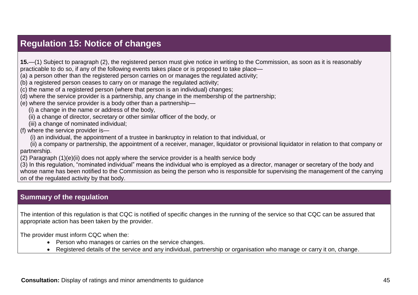### **Regulation 15: Notice of changes**

**15.**—(1) Subject to paragraph (2), the registered person must give notice in writing to the Commission, as soon as it is reasonably practicable to do so, if any of the following events takes place or is proposed to take place—

(a) a person other than the registered person carries on or manages the regulated activity;

(b) a registered person ceases to carry on or manage the regulated activity;

(c) the name of a registered person (where that person is an individual) changes;

(d) where the service provider is a partnership, any change in the membership of the partnership;

(e) where the service provider is a body other than a partnership—

(i) a change in the name or address of the body,

(ii) a change of director, secretary or other similar officer of the body, or

(iii) a change of nominated individual;

(f) where the service provider is—

(i) an individual, the appointment of a trustee in bankruptcy in relation to that individual, or

 (ii) a company or partnership, the appointment of a receiver, manager, liquidator or provisional liquidator in relation to that company or partnership.

<span id="page-44-0"></span>(2) Paragraph (1)(e)(ii) does not apply where the service provider is a health service body

(3) In this regulation, "nominated individual" means the individual who is employed as a director, manager or secretary of the body and whose name has been notified to the Commission as being the person who is responsible for supervising the management of the carrying on of the regulated activity by that body.

#### **Summary of the regulation**

The intention of this regulation is that CQC is notified of specific changes in the running of the service so that CQC can be assured that appropriate action has been taken by the provider.

The provider must inform CQC when the:

- Person who manages or carries on the service changes.
- Registered details of the service and any individual, partnership or organisation who manage or carry it on, change.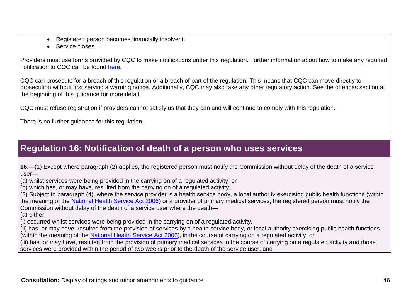- Registered person becomes financially insolvent.
- Service closes.

Providers must use forms provided by CQC to make notifications under this regulation. Further information about how to make any required notification to CQC can be found [here.](http://www.cqc.org.uk/content/notifications)

CQC can prosecute for a breach of this regulation or a breach of part of the regulation. This means that CQC can move directly to prosecution without first serving a warning notice. Additionally, CQC may also take any other regulatory action. See the offences section at the beginning of this guidance for more detail.

CQC must refuse registration if providers cannot satisfy us that they can and will continue to comply with this regulation.

There is no further guidance for this regulation.

# **Regulation 16: Notification of death of a person who uses services**

**16**.—(1) Except where paragraph (2) applies, the registered person must notify the Commission without delay of the death of a service user—

(a) whilst services were being provided in the carrying on of a regulated activity; or

(b) which has, or may have, resulted from the carrying on of a regulated activity.

(2) Subject to paragraph (4), where the service provider is a health service body, a local authority exercising public health functions (within the meaning of the [National Health Service Act 2006\)](http://www.lexisnexis.com/uk/legal/search/enhRunRemoteLink.do?A=0.5229736477640972&service=citation&langcountry=GB&backKey=20_T21148552122&linkInfo=F%23GB%23UK_ACTS%23num%252006_41a_Title%25&ersKey=23_T21147967404) or a provider of primary medical services, the registered person must notify the Commission without delay of the death of a service user where the death—

(a) either—

(i) occurred whilst services were being provided in the carrying on of a regulated activity,

(ii) has, or may have, resulted from the provision of services by a health service body, or local authority exercising public health functions (within the meaning of the National Health [Service Act 2006\)](http://www.lexisnexis.com/uk/legal/search/enhRunRemoteLink.do?A=0.4958357892958579&service=citation&langcountry=GB&backKey=20_T21148552122&linkInfo=F%23GB%23UK_ACTS%23num%252006_41a_Title%25&ersKey=23_T21147967404), in the course of carrying on a regulated activity, or

<span id="page-45-0"></span>(iii) has, or may have, resulted from the provision of primary medical services in the course of carrying on a regulated activity and those services were provided within the period of two weeks prior to the death of the service user; and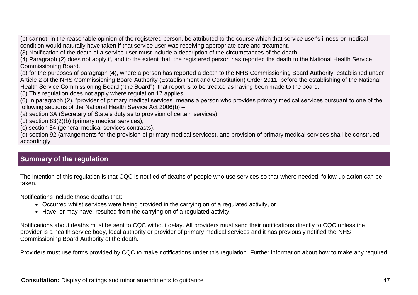(b) cannot, in the reasonable opinion of the registered person, be attributed to the course which that service user's illness or medical condition would naturally have taken if that service user was receiving appropriate care and treatment.

**(**3) Notification of the death of a service user must include a description of the circumstances of the death.

(4) Paragraph (2) does not apply if, and to the extent that, the registered person has reported the death to the National Health Service Commissioning Board.

(a) for the purposes of paragraph (4), where a person has reported a death to the NHS Commissioning Board Authority, established under Article 2 of the NHS Commissioning Board Authority (Establishment and Constitution) Order 2011, before the establishing of the National Health Service Commissioning Board ("the Board"), that report is to be treated as having been made to the board.

(5) This regulation does not apply where regulation 17 applies.

**(**6) In paragraph (2), "provider of primary medical services" means a person who provides primary medical services pursuant to one of the following sections of the National Health Service Act 2006(b) –

(a) section 3A (Secretary of State's duty as to provision of certain services),

(b) section 83(2)(b) (primary medical services),

(c) section 84 (general medical services contracts),

(d) section 92 (arrangements for the provision of primary medical services), and provision of primary medical services shall be construed accordingly

#### **Summary of the regulation**

The intention of this regulation is that CQC is notified of deaths of people who use services so that where needed, follow up action can be taken.

Notifications include those deaths that:

- Occurred whilst services were being provided in the carrying on of a regulated activity, or
- Have, or may have, resulted from the carrying on of a regulated activity.

Notifications about deaths must be sent to CQC without delay. All providers must send their notifications directly to CQC unless the provider is a health service body, local authority or provider of primary medical services and it has previously notified the NHS Commissioning Board Authority of the death.

Providers must use forms provided by CQC to make notifications under this regulation. Further information about how to make any required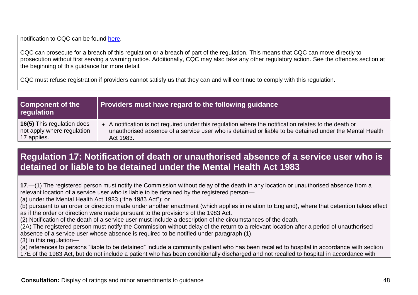notification to CQC can be found [here.](http://www.cqc.org.uk/content/notifications)

CQC can prosecute for a breach of this regulation or a breach of part of the regulation. This means that CQC can move directly to prosecution without first serving a warning notice. Additionally, CQC may also take any other regulatory action. See the offences section at the beginning of this guidance for more detail.

CQC must refuse registration if providers cannot satisfy us that they can and will continue to comply with this regulation.

| <b>Component of the</b><br>regulation | <b>Providers must have regard to the following guidance</b>                                             |
|---------------------------------------|---------------------------------------------------------------------------------------------------------|
| <b>16(5)</b> This regulation does     | • A notification is not required under this regulation where the notification relates to the death or   |
| not apply where regulation            | unauthorised absence of a service user who is detained or liable to be detained under the Mental Health |
| 17 applies.                           | Act 1983.                                                                                               |

### **Regulation 17: Notification of death or unauthorised absence of a service user who is detained or liable to be detained under the Mental Health Act 1983**

**17**.—(1) The registered person must notify the Commission without delay of the death in any location or unauthorised absence from a relevant location of a service user who is liable to be detained by the registered person—

(a) under the Mental Health Act 1983 ("the 1983 Act"); or

(b) pursuant to an order or direction made under another enactment (which applies in relation to England), where that detention takes effect as if the order or direction were made pursuant to the provisions of the 1983 Act.

(2) Notification of the death of a service user must include a description of the circumstances of the death.

(2A) The registered person must notify the Commission without delay of the return to a relevant location after a period of unauthorised absence of a service user whose absence is required to be notified under paragraph (1).

(3) In this regulation—

<span id="page-47-0"></span>(a) references to persons "liable to be detained" include a community patient who has been recalled to hospital in accordance with section 17E of the 1983 Act, but do not include a patient who has been conditionally discharged and not recalled to hospital in accordance with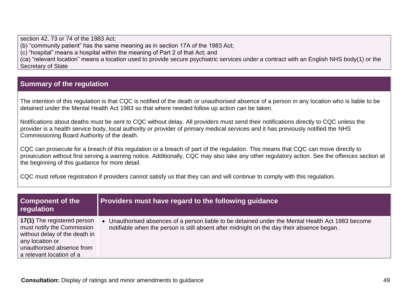section 42, 73 or 74 of the 1983 Act; (b) "community patient" has the same meaning as in section 17A of the 1983 Act; (c) "hospital" means a hospital within the meaning of Part 2 of that Act; and

(ca) "relevant location" means a location used to provide secure psychiatric services under a contract with an English NHS body[\(1\)](http://www.legislation.gov.uk/uksi/2012/921/regulation/4/made#f00005) or the Secretary of State

### **Summary of the regulation**

The intention of this regulation is that CQC is notified of the death or unauthorised absence of a person in any location who is liable to be detained under the Mental Health Act 1983 so that where needed follow up action can be taken.

Notifications about deaths must be sent to CQC without delay. All providers must send their notifications directly to CQC unless the provider is a health service body, local authority or provider of primary medical services and it has previously notified the NHS Commissioning Board Authority of the death.

CQC can prosecute for a breach of this regulation or a breach of part of the regulation. This means that CQC can move directly to prosecution without first serving a warning notice. Additionally, CQC may also take any other regulatory action. See the offences section at the beginning of this guidance for more detail.

CQC must refuse registration if providers cannot satisfy us that they can and will continue to comply with this regulation.

| <b>Component of the</b><br>regulation                                                                                                                                  | <b>Providers must have regard to the following guidance</b>                                                                                                                                    |
|------------------------------------------------------------------------------------------------------------------------------------------------------------------------|------------------------------------------------------------------------------------------------------------------------------------------------------------------------------------------------|
| 17(1) The registered person<br>must notify the Commission<br>without delay of the death in<br>any location or<br>unauthorised absence from<br>a relevant location of a | • Unauthorised absences of a person liable to be detained under the Mental Health Act 1983 become<br>notifiable when the person is still absent after midnight on the day their absence began. |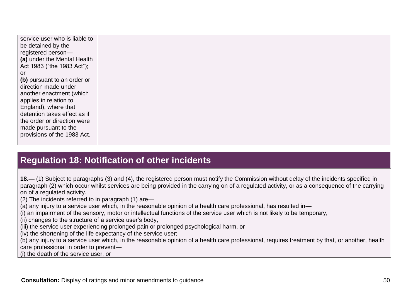service user who is liable to be detained by the registered person— **(a)** under the Mental Health Act 1983 ("the 1983 Act"); or **(b)** pursuant to an order or direction made under another enactment (which applies in relation to England), where that detention takes effect as if the order or direction were made pursuant to the provisions of the 1983 Act.

### **Regulation 18: Notification of other incidents**

**18.—** (1) Subject to paragraphs (3) and (4), the registered person must notify the Commission without delay of the incidents specified in paragraph (2) which occur whilst services are being provided in the carrying on of a regulated activity, or as a consequence of the carrying on of a regulated activity.

(2) The incidents referred to in paragraph (1) are—

(a) any injury to a service user which, in the reasonable opinion of a health care professional, has resulted in—

(i) an impairment of the sensory, motor or intellectual functions of the service user which is not likely to be temporary,

(ii) changes to the structure of a service user's body,

(iii) the service user experiencing prolonged pain or prolonged psychological harm, or

(iv) the shortening of the life expectancy of the service user;

(b) any injury to a service user which, in the reasonable opinion of a health care professional, requires treatment by that, or another, health care professional in order to prevent—

<span id="page-49-0"></span>(i) the death of the service user, or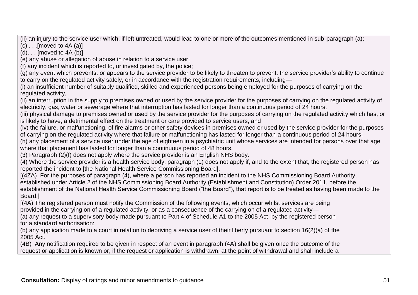(ii) an injury to the service user which, if left untreated, would lead to one or more of the outcomes mentioned in sub-paragraph (a);

 $(c)$  . . . Imoved to 4A  $(a)$ ]

 $(d)$ ... [moved to 4A  $(b)$ ]

(e) any abuse or allegation of abuse in relation to a service user;

(f) any incident which is reported to, or investigated by, the police;

(g) any event which prevents, or appears to the service provider to be likely to threaten to prevent, the service provider's ability to continue to carry on the regulated activity safely, or in accordance with the registration requirements, including—

(i) an insufficient number of suitably qualified, skilled and experienced persons being employed for the purposes of carrying on the regulated activity,

(ii) an interruption in the supply to premises owned or used by the service provider for the purposes of carrying on the regulated activity of electricity, gas, water or sewerage where that interruption has lasted for longer than a continuous period of 24 hours,

(iii) physical damage to premises owned or used by the service provider for the purposes of carrying on the regulated activity which has, or is likely to have, a detrimental effect on the treatment or care provided to service users, and

(iv) the failure, or malfunctioning, of fire alarms or other safety devices in premises owned or used by the service provider for the purposes of carrying on the regulated activity where that failure or malfunctioning has lasted for longer than a continuous period of 24 hours;

(h) any placement of a service user under the age of eighteen in a psychiatric unit whose services are intended for persons over that age where that placement has lasted for longer than a continuous period of 48 hours.

(3) Paragraph (2)(f) does not apply where the service provider is an English NHS body.

(4) Where the service provider is a health service body, paragraph (1) does not apply if, and to the extent that, the registered person has reported the incident to [the National Health Service Commissioning Board].

[(4ZA) For the purposes of paragraph (4), where a person has reported an incident to the NHS Commissioning Board Authority, established under Article 2 of the NHS Commissioning Board Authority (Establishment and Constitution) Order 2011, before the establishment of the National Health Service Commissioning Board ("the Board"), that report is to be treated as having been made to the Board.]

[(4A) The registered person must notify the Commission of the following events, which occur whilst services are being provided in the carrying on of a regulated activity, or as a consequence of the carrying on of a regulated activity—

(a) any request to a supervisory body made pursuant to Part 4 of Schedule A1 to the 2005 Act by the registered person for a standard authorisation:

(b) any application made to a court in relation to depriving a service user of their liberty pursuant to section 16(2)(a) of the 2005 Act.

(4B) Any notification required to be given in respect of an event in paragraph (4A) shall be given once the outcome of the request or application is known or, if the request or application is withdrawn, at the point of withdrawal and shall include a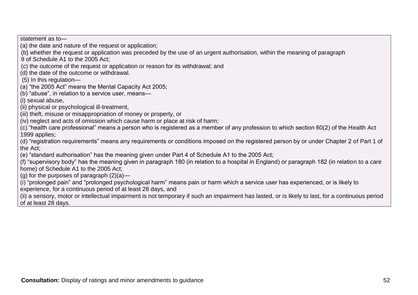(ii) physical or psychological ill-treatment, (iii) theft, misuse or misappropriation of money or property, or (iv) neglect and acts of omission which cause harm or place at risk of harm; (c) "health care professional" means a person who is registered as a member of any profession to which section 60(2) of the Health Act 1999 applies; (d) "registration requirements" means any requirements or conditions imposed on the registered person by or under Chapter 2 of Part 1 of (e) "standard authorisation" has the meaning given under Part 4 of Schedule A1 to the 2005 Act; (f) "supervisory body" has the meaning given in paragraph 180 (in relation to a hospital in England) or paragraph 182 (in relation to a care home) of Schedule A1 to the 2005 Act; (g) for the purposes of paragraph  $(2)(a)$ — (i) "prolonged pain" and "prolonged psychological harm" means pain or harm which a service user has experienced, or is likely to experience, for a continuous period of at least 28 days, and (ii) a sensory, motor or intellectual impairment is not temporary if such an impairment has lasted, or is likely to last, for a continuous period of at least 28 days.

(b) whether the request or application was preceded by the use of an urgent authorisation, within the meaning of paragraph

statement as to—

(5) In this regulation—

(i) sexual abuse,

the Act;

9 of Schedule A1 to the 2005 Act;

(d) the date of the outcome or withdrawal.

(a) the date and nature of the request or application;

(a) "the 2005 Act" means the Mental Capacity Act 2005;

(b) "abuse", in relation to a service user, means—

(c) the outcome of the request or application or reason for its withdrawal; and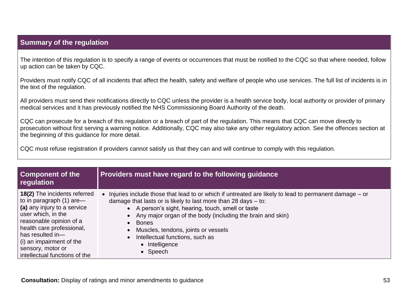#### **Summary of the regulation**

The intention of this regulation is to specify a range of events or occurrences that must be notified to the CQC so that where needed, follow up action can be taken by CQC.

Providers must notify CQC of all incidents that affect the health, safety and welfare of people who use services. The full list of incidents is in the text of the regulation.

All providers must send their notifications directly to CQC unless the provider is a health service body, local authority or provider of primary medical services and it has previously notified the NHS Commissioning Board Authority of the death.

CQC can prosecute for a breach of this regulation or a breach of part of the regulation. This means that CQC can move directly to prosecution without first serving a warning notice. Additionally, CQC may also take any other regulatory action. See the offences section at the beginning of this guidance for more detail.

CQC must refuse registration if providers cannot satisfy us that they can and will continue to comply with this regulation.

| <b>Component of the</b><br>regulation | Providers must have regard to the following guidance                                                    |
|---------------------------------------|---------------------------------------------------------------------------------------------------------|
| <b>18(2)</b> The incidents referred   | • Injuries include those that lead to or which if untreated are likely to lead to permanent damage – or |
| to in paragraph $(1)$ are —           | damage that lasts or is likely to last more than 28 days $-$ to:                                        |
| (a) any injury to a service           | • A person's sight, hearing, touch, smell or taste                                                      |
| user which, in the                    | • Any major organ of the body (including the brain and skin)                                            |
| reasonable opinion of a               | <b>Bones</b>                                                                                            |
| health care professional,             | Muscles, tendons, joints or vessels                                                                     |
| has resulted in-                      | Intellectual functions, such as                                                                         |
| (i) an impairment of the              | $\bullet$                                                                                               |
| sensory, motor or                     | • Intelligence                                                                                          |
| intellectual functions of the         | $\bullet$ Speech                                                                                        |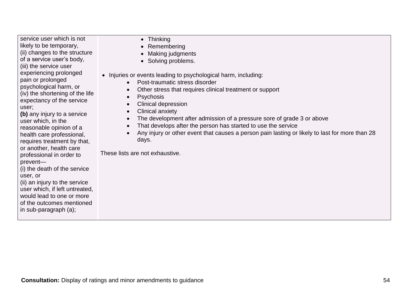service user which is not likely to be temporary, (ii) changes to the structure of a service user's body, (iii) the service user experiencing prolonged pain or prolonged psychological harm, or (iv) the shortening of the life expectancy of the service user;

**(b)** any injury to a service user which, in the reasonable opinion of a health care professional, requires treatment by that, or another, health care professional in order to prevent—

(i) the death of the service user, or

(ii) an injury to the service user which, if left untreated, would lead to one or more of the outcomes mentioned in sub-paragraph (a);

- Thinking
- Remembering
- Making judgments
- Solving problems.
- Injuries or events leading to psychological harm, including:
	- Post-traumatic stress disorder
	- Other stress that requires clinical treatment or support
	- Psychosis
	- Clinical depression
	- Clinical anxiety
	- The development after admission of a pressure sore of grade 3 or above
	- That develops after the person has started to use the service
	- Any injury or other event that causes a person pain lasting or likely to last for more than 28 days.

These lists are not exhaustive.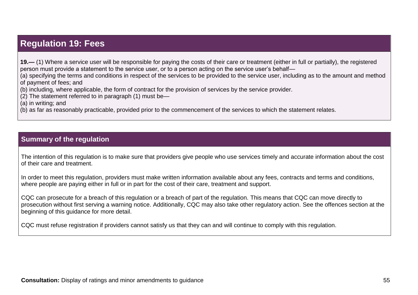### **Regulation 19: Fees**

**19.—** (1) Where a service user will be responsible for paying the costs of their care or treatment (either in full or partially), the registered person must provide a statement to the service user, or to a person acting on the service user's behalf—

(a) specifying the terms and conditions in respect of the services to be provided to the service user, including as to the amount and method of payment of fees; and

(b) including, where applicable, the form of contract for the provision of services by the service provider.

(2) The statement referred to in paragraph (1) must be—

(a) in writing; and

(b) as far as reasonably practicable, provided prior to the commencement of the services to which the statement relates.

#### **Summary of the regulation**

<span id="page-54-0"></span>The intention of this regulation is to make sure that providers give people who use services timely and accurate information about the cost of their care and treatment.

In order to meet this regulation, providers must make written information available about any fees, contracts and terms and conditions. where people are paying either in full or in part for the cost of their care, treatment and support.

CQC can prosecute for a breach of this regulation or a breach of part of the regulation. This means that CQC can move directly to prosecution without first serving a warning notice. Additionally, CQC may also take other regulatory action. See the offences section at the beginning of this guidance for more detail.

CQC must refuse registration if providers cannot satisfy us that they can and will continue to comply with this regulation.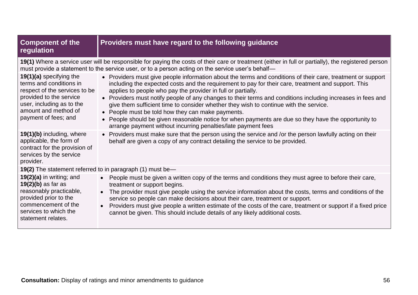| <b>Component of the</b><br>regulation                                                                                                                                                                                                                    | Providers must have regard to the following guidance                                                                                                                                                                                                                                                                                                                                                                                                                                                                                                                                                                                                                                                                     |  |
|----------------------------------------------------------------------------------------------------------------------------------------------------------------------------------------------------------------------------------------------------------|--------------------------------------------------------------------------------------------------------------------------------------------------------------------------------------------------------------------------------------------------------------------------------------------------------------------------------------------------------------------------------------------------------------------------------------------------------------------------------------------------------------------------------------------------------------------------------------------------------------------------------------------------------------------------------------------------------------------------|--|
| 19(1) Where a service user will be responsible for paying the costs of their care or treatment (either in full or partially), the registered person<br>must provide a statement to the service user, or to a person acting on the service user's behalf- |                                                                                                                                                                                                                                                                                                                                                                                                                                                                                                                                                                                                                                                                                                                          |  |
| 19(1)(a) specifying the<br>terms and conditions in<br>respect of the services to be<br>provided to the service<br>user, including as to the<br>amount and method of<br>payment of fees; and                                                              | • Providers must give people information about the terms and conditions of their care, treatment or support<br>including the expected costs and the requirement to pay for their care, treatment and support. This<br>applies to people who pay the provider in full or partially.<br>• Providers must notify people of any changes to their terms and conditions including increases in fees and<br>give them sufficient time to consider whether they wish to continue with the service.<br>• People must be told how they can make payments.<br>• People should be given reasonable notice for when payments are due so they have the opportunity to<br>arrange payment without incurring penalties/late payment fees |  |
| 19(1)(b) including, where<br>applicable, the form of<br>contract for the provision of<br>services by the service<br>provider.                                                                                                                            | • Providers must make sure that the person using the service and /or the person lawfully acting on their<br>behalf are given a copy of any contract detailing the service to be provided.                                                                                                                                                                                                                                                                                                                                                                                                                                                                                                                                |  |
| 19(2) The statement referred to in paragraph (1) must be-                                                                                                                                                                                                |                                                                                                                                                                                                                                                                                                                                                                                                                                                                                                                                                                                                                                                                                                                          |  |
| $19(2)(a)$ in writing; and<br>$19(2)(b)$ as far as<br>reasonably practicable,<br>provided prior to the<br>commencement of the<br>services to which the<br>statement relates.                                                                             | • People must be given a written copy of the terms and conditions they must agree to before their care,<br>treatment or support begins.<br>The provider must give people using the service information about the costs, terms and conditions of the<br>$\bullet$<br>service so people can make decisions about their care, treatment or support.<br>Providers must give people a written estimate of the costs of the care, treatment or support if a fixed price<br>cannot be given. This should include details of any likely additional costs.                                                                                                                                                                        |  |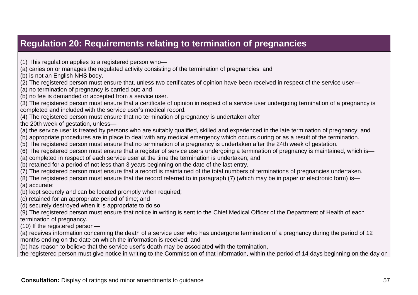## **Regulation 20: Requirements relating to termination of pregnancies**

- (1) This regulation applies to a registered person who—
- (a) caries on or manages the regulated activity consisting of the termination of pregnancies; and
- (b) is not an English NHS body.
- (2) The registered person must ensure that, unless two certificates of opinion have been received in respect of the service user—
- (a) no termination of pregnancy is carried out; and
- (b) no fee is demanded or accepted from a service user.
- (3) The registered person must ensure that a certificate of opinion in respect of a service user undergoing termination of a pregnancy is completed and included with the service user's medical record.
- (4) The registered person must ensure that no termination of pregnancy is undertaken after
- the 20th week of gestation, unless—
- (a) the service user is treated by persons who are suitably qualified, skilled and experienced in the late termination of pregnancy; and
- (b) appropriate procedures are in place to deal with any medical emergency which occurs during or as a result of the termination.
- (5) The registered person must ensure that no termination of a pregnancy is undertaken after the 24th week of gestation.
- (6) The registered person must ensure that a register of service users undergoing a termination of pregnancy is maintained, which is—
- <span id="page-56-0"></span>(a) completed in respect of each service user at the time the termination is undertaken; and
- (b) retained for a period of not less than 3 years beginning on the date of the last entry.
- (7) The registered person must ensure that a record is maintained of the total numbers of terminations of pregnancies undertaken.
- (8) The registered person must ensure that the record referred to in paragraph (7) (which may be in paper or electronic form) is— (a) accurate;
- (b) kept securely and can be located promptly when required;
- (c) retained for an appropriate period of time; and
- (d) securely destroyed when it is appropriate to do so.
- (9) The registered person must ensure that notice in writing is sent to the Chief Medical Officer of the Department of Health of each termination of pregnancy.
- (10) If the registered person—
- (a) receives information concerning the death of a service user who has undergone termination of a pregnancy during the period of 12 months ending on the date on which the information is received; and
- (b) has reason to believe that the service user's death may be associated with the termination,
- the registered person must give notice in writing to the Commission of that information, within the period of 14 days beginning on the day on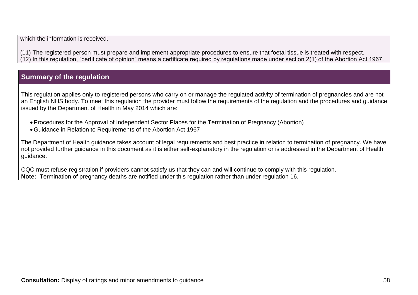which the information is received.

(11) The registered person must prepare and implement appropriate procedures to ensure that foetal tissue is treated with respect. (12) In this regulation, "certificate of opinion" means a certificate required by regulations made under section 2(1) of the Abortion Act 1967.

### **Summary of the regulation**

This regulation applies only to registered persons who carry on or manage the regulated activity of termination of pregnancies and are not an English NHS body. To meet this regulation the provider must follow the requirements of the regulation and the procedures and guidance issued by the Department of Health in May 2014 which are:

- Procedures for the Approval of Independent Sector Places for the Termination of Pregnancy (Abortion)
- Guidance in Relation to Requirements of the Abortion Act 1967

The Department of Health guidance takes account of legal requirements and best practice in relation to termination of pregnancy. We have not provided further guidance in this document as it is either self-explanatory in the regulation or is addressed in the Department of Health guidance.

CQC must refuse registration if providers cannot satisfy us that they can and will continue to comply with this regulation. **Note:** Termination of pregnancy deaths are notified under this regulation rather than under regulation 16.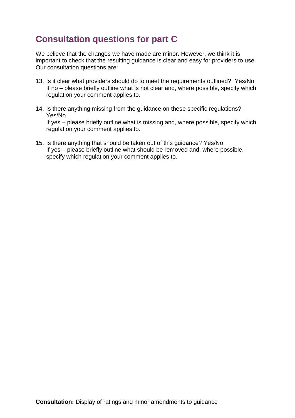# <span id="page-58-0"></span>**Consultation questions for part C**

We believe that the changes we have made are minor. However, we think it is important to check that the resulting guidance is clear and easy for providers to use. Our consultation questions are:

- 13. Is it clear what providers should do to meet the requirements outlined? Yes/No If no – please briefly outline what is not clear and, where possible, specify which regulation your comment applies to.
- 14. Is there anything missing from the guidance on these specific regulations? Yes/No If yes – please briefly outline what is missing and, where possible, specify which regulation your comment applies to.
- 15. Is there anything that should be taken out of this guidance? Yes/No If yes – please briefly outline what should be removed and, where possible, specify which regulation your comment applies to.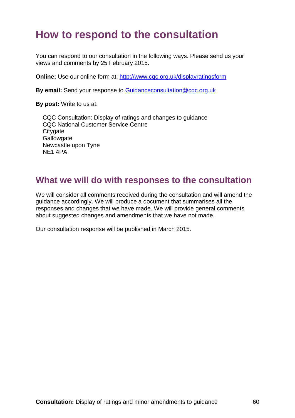# <span id="page-59-0"></span>**How to respond to the consultation**

You can respond to our consultation in the following ways. Please send us your views and comments by 25 February 2015.

**Online:** Use our online form at:<http://www.cqc.org.uk/displayratingsform>

**By email:** Send your response to [Guidanceconsultation@cqc.org.uk](mailto:Guidanceconsultation@cqc.org.uk)

**By post:** Write to us at:

CQC Consultation: Display of ratings and changes to guidance CQC National Customer Service Centre **Citygate Gallowgate** Newcastle upon Tyne NE1 4PA

### <span id="page-59-1"></span>**What we will do with responses to the consultation**

We will consider all comments received during the consultation and will amend the guidance accordingly. We will produce a document that summarises all the responses and changes that we have made. We will provide general comments about suggested changes and amendments that we have not made.

Our consultation response will be published in March 2015.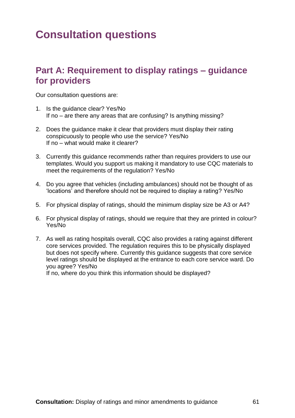# <span id="page-60-0"></span>**Consultation questions**

### <span id="page-60-1"></span>**Part A: Requirement to display ratings – guidance for providers**

Our consultation questions are:

- 1. Is the guidance clear? Yes/No If no – are there any areas that are confusing? Is anything missing?
- 2. Does the guidance make it clear that providers must display their rating conspicuously to people who use the service? Yes/No If no – what would make it clearer?
- 3. Currently this guidance recommends rather than requires providers to use our templates. Would you support us making it mandatory to use CQC materials to meet the requirements of the regulation? Yes/No
- 4. Do you agree that vehicles (including ambulances) should not be thought of as 'locations' and therefore should not be required to display a rating? Yes/No
- 5. For physical display of ratings, should the minimum display size be A3 or A4?
- 6. For physical display of ratings, should we require that they are printed in colour? Yes/No
- 7. As well as rating hospitals overall, CQC also provides a rating against different core services provided. The regulation requires this to be physically displayed but does not specify where. Currently this guidance suggests that core service level ratings should be displayed at the entrance to each core service ward. Do you agree? Yes/No

If no, where do you think this information should be displayed?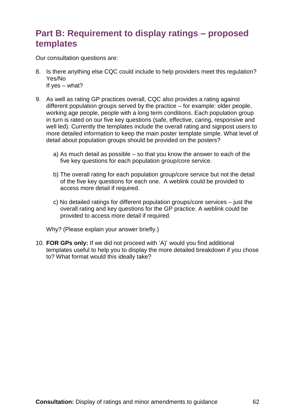### <span id="page-61-0"></span>**Part B: Requirement to display ratings – proposed templates**

Our consultation questions are:

- 8. Is there anything else CQC could include to help providers meet this regulation? Yes/No If yes – what?
- 9. As well as rating GP practices overall, CQC also provides a rating against different population groups served by the practice – for example: older people, working age people, people with a long term conditions. Each population group in turn is rated on our five key questions (safe, effective, caring, responsive and well led). Currently the templates include the overall rating and signpost users to more detailed information to keep the main poster template simple. What level of detail about population groups should be provided on the posters?
	- a) As much detail as possible so that you know the answer to each of the five key questions for each population group/core service.
	- b) The overall rating for each population group/core service but not the detail of the five key questions for each one. A weblink could be provided to access more detail if required.
	- c) No detailed ratings for different population groups/core services just the overall rating and key questions for the GP practice. A weblink could be provided to access more detail if required.

Why? (Please explain your answer briefly.)

10. **FOR GPs only:** If we did not proceed with 'A)' would you find additional templates useful to help you to display the more detailed breakdown if you chose to? What format would this ideally take?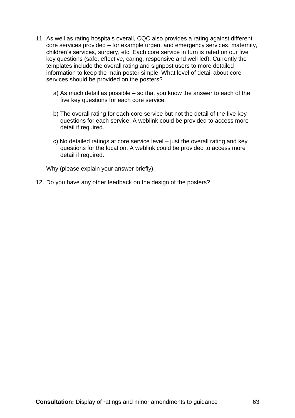- 11. As well as rating hospitals overall, CQC also provides a rating against different core services provided – for example urgent and emergency services, maternity, children's services, surgery, etc. Each core service in turn is rated on our five key questions (safe, effective, caring, responsive and well led). Currently the templates include the overall rating and signpost users to more detailed information to keep the main poster simple. What level of detail about core services should be provided on the posters?
	- a) As much detail as possible so that you know the answer to each of the five key questions for each core service.
	- b) The overall rating for each core service but not the detail of the five key questions for each service. A weblink could be provided to access more detail if required.
	- c) No detailed ratings at core service level just the overall rating and key questions for the location. A weblink could be provided to access more detail if required.

Why (please explain your answer briefly).

12. Do you have any other feedback on the design of the posters?